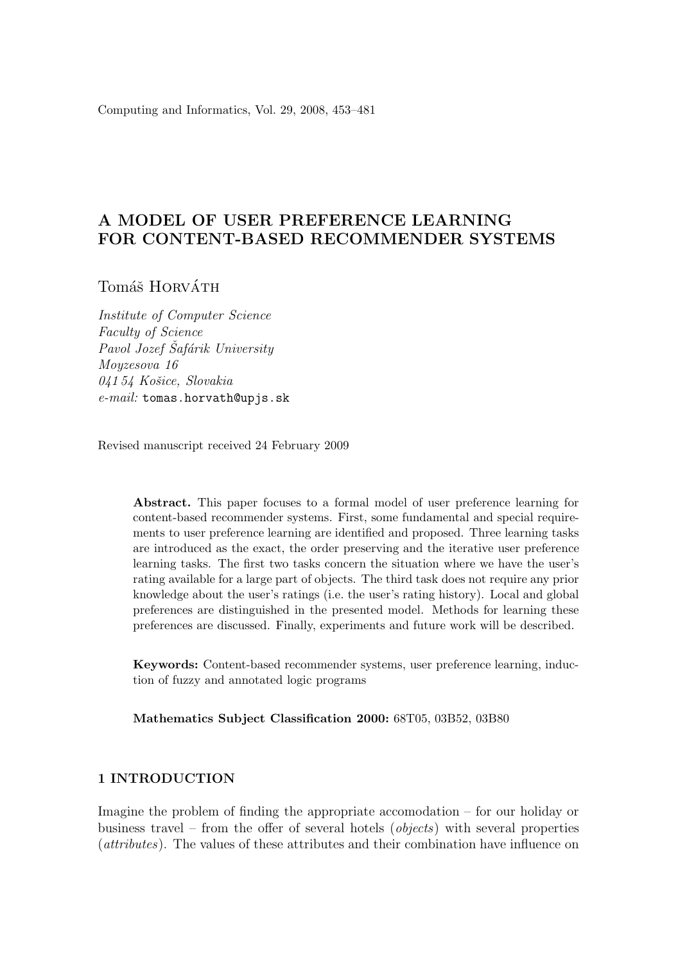Computing and Informatics, Vol. 29, 2008, 453–481

# A MODEL OF USER PREFERENCE LEARNING FOR CONTENT-BASED RECOMMENDER SYSTEMS

Tomáš HORVÁTH

Institute of Computer Science Faculty of Science Pavol Jozef Šafárik University Moyzesova 16 04154 Košice, Slovakia e-mail: tomas.horvath@upjs.sk

Revised manuscript received 24 February 2009

Abstract. This paper focuses to a formal model of user preference learning for content-based recommender systems. First, some fundamental and special requirements to user preference learning are identified and proposed. Three learning tasks are introduced as the exact, the order preserving and the iterative user preference learning tasks. The first two tasks concern the situation where we have the user's rating available for a large part of objects. The third task does not require any prior knowledge about the user's ratings (i.e. the user's rating history). Local and global preferences are distinguished in the presented model. Methods for learning these preferences are discussed. Finally, experiments and future work will be described.

Keywords: Content-based recommender systems, user preference learning, induction of fuzzy and annotated logic programs

Mathematics Subject Classification 2000: 68T05, 03B52, 03B80

### 1 INTRODUCTION

Imagine the problem of finding the appropriate accomodation – for our holiday or business travel – from the offer of several hotels (*objects*) with several properties (attributes). The values of these attributes and their combination have influence on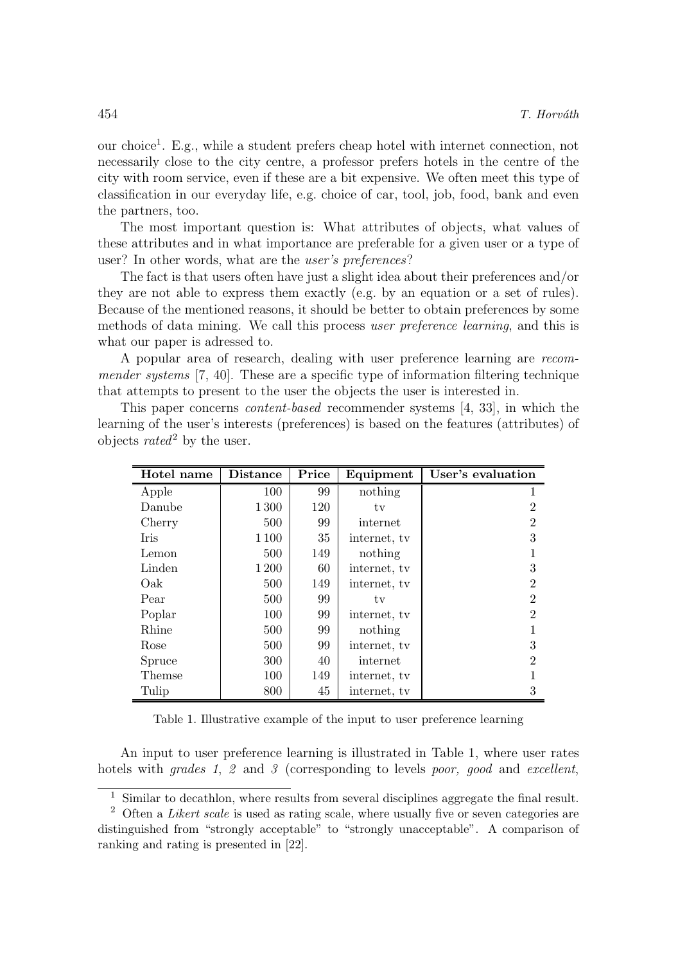our choice<sup>1</sup> . E.g., while a student prefers cheap hotel with internet connection, not necessarily close to the city centre, a professor prefers hotels in the centre of the city with room service, even if these are a bit expensive. We often meet this type of classification in our everyday life, e.g. choice of car, tool, job, food, bank and even the partners, too.

The most important question is: What attributes of objects, what values of these attributes and in what importance are preferable for a given user or a type of user? In other words, what are the user's preferences?

The fact is that users often have just a slight idea about their preferences and/or they are not able to express them exactly (e.g. by an equation or a set of rules). Because of the mentioned reasons, it should be better to obtain preferences by some methods of data mining. We call this process user preference learning, and this is what our paper is adressed to.

A popular area of research, dealing with user preference learning are recommender systems [7, 40]. These are a specific type of information filtering technique that attempts to present to the user the objects the user is interested in.

This paper concerns content-based recommender systems [4, 33], in which the learning of the user's interests (preferences) is based on the features (attributes) of objects  $rated^2$  by the user.

| Hotel name  | <b>Distance</b> | Price | Equipment    | User's evaluation           |
|-------------|-----------------|-------|--------------|-----------------------------|
| Apple       | 100             | 99    | nothing      |                             |
| Danube      | 1300            | 120   | tv           | 2                           |
| Cherry      | 500             | 99    | internet     | 2                           |
| <b>Iris</b> | 1 1 0 0         | 35    | internet, tv | 3                           |
| Lemon       | 500             | 149   | nothing      |                             |
| Linden      | 1 200           | 60    | internet, tv | 3                           |
| Oak         | 500             | 149   | internet, tv | 2                           |
| Pear        | 500             | 99    | tv           | $\mathcal{D}_{\mathcal{L}}$ |
| Poplar      | 100             | 99    | internet, tv | $\overline{2}$              |
| Rhine       | 500             | 99    | nothing      |                             |
| Rose        | 500             | 99    | internet, tv | 3                           |
| Spruce      | 300             | 40    | internet     | $\overline{2}$              |
| Themse      | 100             | 149   | internet, tv |                             |
| Tulip       | 800             | 45    | internet, tv | 3                           |

Table 1. Illustrative example of the input to user preference learning

An input to user preference learning is illustrated in Table 1, where user rates hotels with *grades 1*, 2 and 3 (corresponding to levels *poor, good* and *excellent*,

 $^{\rm 1}$  Similar to decathlon, where results from several disciplines aggregate the final result.

 $2$  Often a *Likert scale* is used as rating scale, where usually five or seven categories are distinguished from "strongly acceptable" to "strongly unacceptable". A comparison of ranking and rating is presented in [22].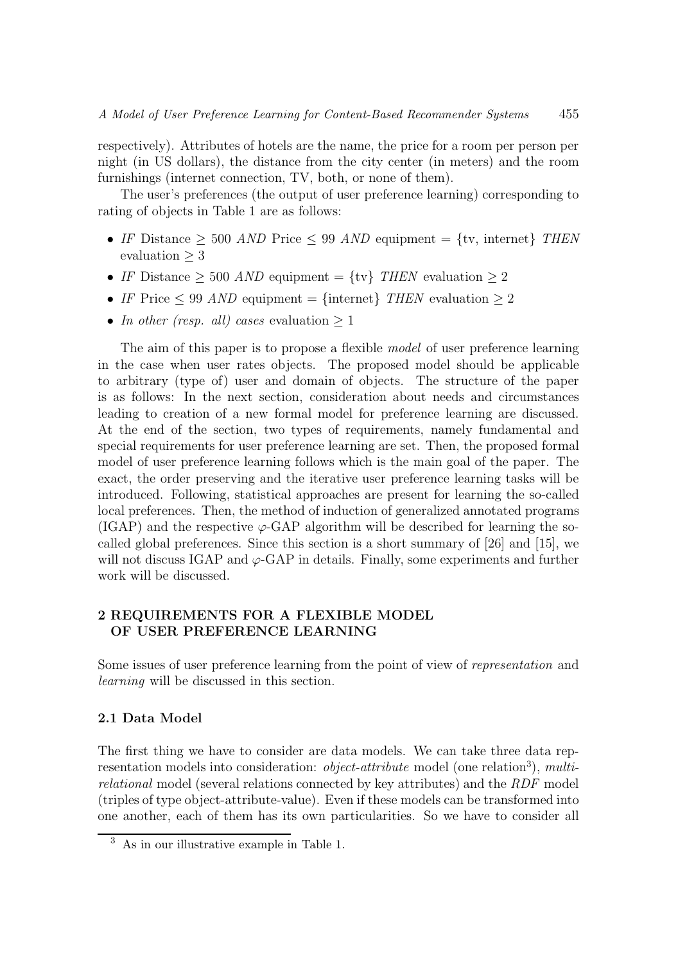respectively). Attributes of hotels are the name, the price for a room per person per night (in US dollars), the distance from the city center (in meters) and the room furnishings (internet connection, TV, both, or none of them).

The user's preferences (the output of user preference learning) corresponding to rating of objects in Table 1 are as follows:

- IF Distance  $\geq$  500 AND Price  $\leq$  99 AND equipment = {tv, internet} THEN evaluation ≥ 3
- IF Distance  $\geq 500$  AND equipment = {tv} THEN evaluation  $\geq 2$
- IF Price  $\leq 99$  AND equipment = {internet} THEN evaluation  $\geq 2$
- In other (resp. all) cases evaluation  $> 1$

The aim of this paper is to propose a flexible model of user preference learning in the case when user rates objects. The proposed model should be applicable to arbitrary (type of) user and domain of objects. The structure of the paper is as follows: In the next section, consideration about needs and circumstances leading to creation of a new formal model for preference learning are discussed. At the end of the section, two types of requirements, namely fundamental and special requirements for user preference learning are set. Then, the proposed formal model of user preference learning follows which is the main goal of the paper. The exact, the order preserving and the iterative user preference learning tasks will be introduced. Following, statistical approaches are present for learning the so-called local preferences. Then, the method of induction of generalized annotated programs (IGAP) and the respective  $\varphi$ -GAP algorithm will be described for learning the socalled global preferences. Since this section is a short summary of [26] and [15], we will not discuss IGAP and  $\varphi$ -GAP in details. Finally, some experiments and further work will be discussed.

## 2 REQUIREMENTS FOR A FLEXIBLE MODEL OF USER PREFERENCE LEARNING

Some issues of user preference learning from the point of view of representation and learning will be discussed in this section.

### 2.1 Data Model

The first thing we have to consider are data models. We can take three data representation models into consideration: *object-attribute* model (one relation<sup>3</sup>), multirelational model (several relations connected by key attributes) and the RDF model (triples of type object-attribute-value). Even if these models can be transformed into one another, each of them has its own particularities. So we have to consider all

<sup>3</sup> As in our illustrative example in Table 1.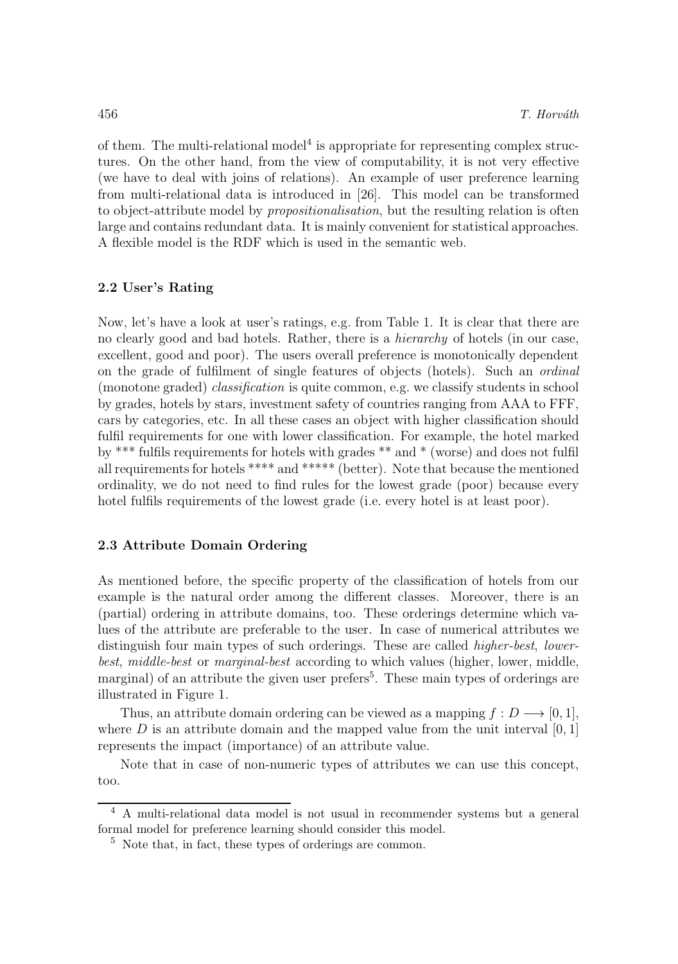of them. The multi-relational model<sup>4</sup> is appropriate for representing complex structures. On the other hand, from the view of computability, it is not very effective (we have to deal with joins of relations). An example of user preference learning from multi-relational data is introduced in [26]. This model can be transformed to object-attribute model by propositionalisation, but the resulting relation is often large and contains redundant data. It is mainly convenient for statistical approaches. A flexible model is the RDF which is used in the semantic web.

## 2.2 User's Rating

Now, let's have a look at user's ratings, e.g. from Table 1. It is clear that there are no clearly good and bad hotels. Rather, there is a hierarchy of hotels (in our case, excellent, good and poor). The users overall preference is monotonically dependent on the grade of fulfilment of single features of objects (hotels). Such an ordinal (monotone graded) classification is quite common, e.g. we classify students in school by grades, hotels by stars, investment safety of countries ranging from AAA to FFF, cars by categories, etc. In all these cases an object with higher classification should fulfil requirements for one with lower classification. For example, the hotel marked by \*\*\* fulfils requirements for hotels with grades \*\* and \* (worse) and does not fulfil all requirements for hotels \*\*\*\* and \*\*\*\*\* (better). Note that because the mentioned ordinality, we do not need to find rules for the lowest grade (poor) because every hotel fulfils requirements of the lowest grade (i.e. every hotel is at least poor).

#### 2.3 Attribute Domain Ordering

As mentioned before, the specific property of the classification of hotels from our example is the natural order among the different classes. Moreover, there is an (partial) ordering in attribute domains, too. These orderings determine which values of the attribute are preferable to the user. In case of numerical attributes we distinguish four main types of such orderings. These are called higher-best, lowerbest, middle-best or marginal-best according to which values (higher, lower, middle, marginal) of an attribute the given user prefers<sup>5</sup>. These main types of orderings are illustrated in Figure 1.

Thus, an attribute domain ordering can be viewed as a mapping  $f: D \longrightarrow [0, 1],$ where  $D$  is an attribute domain and the mapped value from the unit interval  $[0, 1]$ represents the impact (importance) of an attribute value.

Note that in case of non-numeric types of attributes we can use this concept, too.

<sup>4</sup> A multi-relational data model is not usual in recommender systems but a general formal model for preference learning should consider this model.

 $5$  Note that, in fact, these types of orderings are common.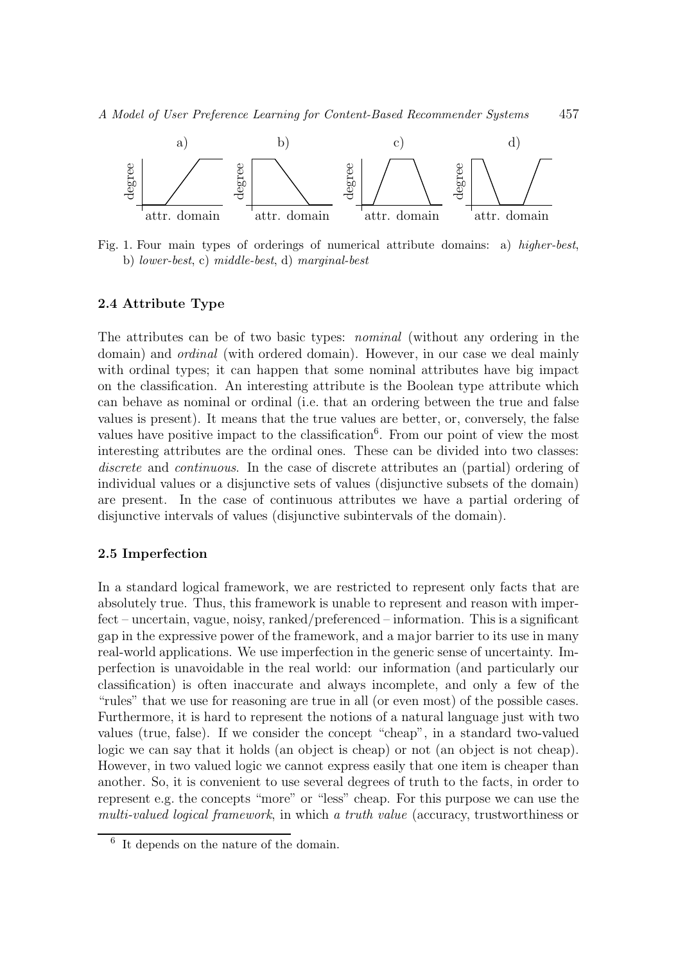

Fig. 1. Four main types of orderings of numerical attribute domains: a) higher-best, b) lower-best, c) middle-best, d) marginal-best

### 2.4 Attribute Type

The attributes can be of two basic types: nominal (without any ordering in the domain) and *ordinal* (with ordered domain). However, in our case we deal mainly with ordinal types; it can happen that some nominal attributes have big impact on the classification. An interesting attribute is the Boolean type attribute which can behave as nominal or ordinal (i.e. that an ordering between the true and false values is present). It means that the true values are better, or, conversely, the false values have positive impact to the classification<sup>6</sup>. From our point of view the most interesting attributes are the ordinal ones. These can be divided into two classes: discrete and continuous. In the case of discrete attributes an (partial) ordering of individual values or a disjunctive sets of values (disjunctive subsets of the domain) are present. In the case of continuous attributes we have a partial ordering of disjunctive intervals of values (disjunctive subintervals of the domain).

#### 2.5 Imperfection

In a standard logical framework, we are restricted to represent only facts that are absolutely true. Thus, this framework is unable to represent and reason with imperfect – uncertain, vague, noisy, ranked/preferenced – information. This is a significant gap in the expressive power of the framework, and a major barrier to its use in many real-world applications. We use imperfection in the generic sense of uncertainty. Imperfection is unavoidable in the real world: our information (and particularly our classification) is often inaccurate and always incomplete, and only a few of the "rules" that we use for reasoning are true in all (or even most) of the possible cases. Furthermore, it is hard to represent the notions of a natural language just with two values (true, false). If we consider the concept "cheap", in a standard two-valued logic we can say that it holds (an object is cheap) or not (an object is not cheap). However, in two valued logic we cannot express easily that one item is cheaper than another. So, it is convenient to use several degrees of truth to the facts, in order to represent e.g. the concepts "more" or "less" cheap. For this purpose we can use the multi-valued logical framework, in which a truth value (accuracy, trustworthiness or

<sup>6</sup> It depends on the nature of the domain.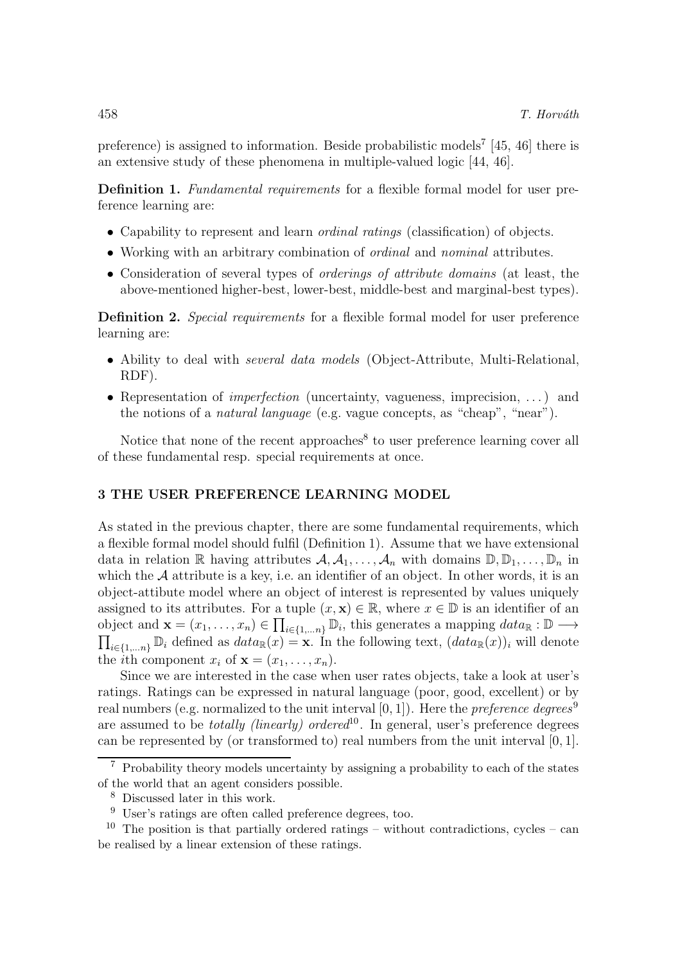preference) is assigned to information. Beside probabilistic models<sup>7</sup> [45, 46] there is an extensive study of these phenomena in multiple-valued logic [44, 46].

Definition 1. Fundamental requirements for a flexible formal model for user preference learning are:

- Capability to represent and learn ordinal ratings (classification) of objects.
- Working with an arbitrary combination of ordinal and nominal attributes.
- Consideration of several types of orderings of attribute domains (at least, the above-mentioned higher-best, lower-best, middle-best and marginal-best types).

Definition 2. Special requirements for a flexible formal model for user preference learning are:

- Ability to deal with *several data models* (Object-Attribute, Multi-Relational, RDF).
- Representation of *imperfection* (uncertainty, vagueness, imprecision, ...) and the notions of a natural language (e.g. vague concepts, as "cheap", "near").

Notice that none of the recent approaches<sup>8</sup> to user preference learning cover all of these fundamental resp. special requirements at once.

#### 3 THE USER PREFERENCE LEARNING MODEL

As stated in the previous chapter, there are some fundamental requirements, which a flexible formal model should fulfil (Definition 1). Assume that we have extensional data in relation R having attributes  $\mathcal{A}, \mathcal{A}_1, \ldots, \mathcal{A}_n$  with domains  $\mathbb{D}, \mathbb{D}_1, \ldots, \mathbb{D}_n$  in which the  $A$  attribute is a key, i.e. an identifier of an object. In other words, it is an object-attibute model where an object of interest is represented by values uniquely assigned to its attributes. For a tuple  $(x, \mathbf{x}) \in \mathbb{R}$ , where  $x \in \mathbb{D}$  is an identifier of an object and  $\mathbf{x} = (x_1, \ldots, x_n) \in \prod_{i \in \{1, \ldots, n\}} \mathbb{D}_i$ , this generates a mapping  $data_{\mathbb{R}} : \mathbb{D} \longrightarrow$  $\prod_{i\in\{1,\ldots n\}} \mathbb{D}_i$  defined as  $data_{\mathbb{R}}(x) = \mathbf{x}$ . In the following text,  $(data_{\mathbb{R}}(x))_i$  will denote the *i*th component  $x_i$  of  $\mathbf{x} = (x_1, \ldots, x_n)$ .

Since we are interested in the case when user rates objects, take a look at user's ratings. Ratings can be expressed in natural language (poor, good, excellent) or by real numbers (e.g. normalized to the unit interval  $[0, 1]$ ). Here the *preference degrees*<sup>9</sup> are assumed to be *totally (linearly)* ordered<sup>10</sup>. In general, user's preference degrees can be represented by (or transformed to) real numbers from the unit interval [0, 1].

<sup>7</sup> Probability theory models uncertainty by assigning a probability to each of the states of the world that an agent considers possible.

<sup>8</sup> Discussed later in this work.

<sup>9</sup> User's ratings are often called preference degrees, too.

 $10$  The position is that partially ordered ratings – without contradictions, cycles – can be realised by a linear extension of these ratings.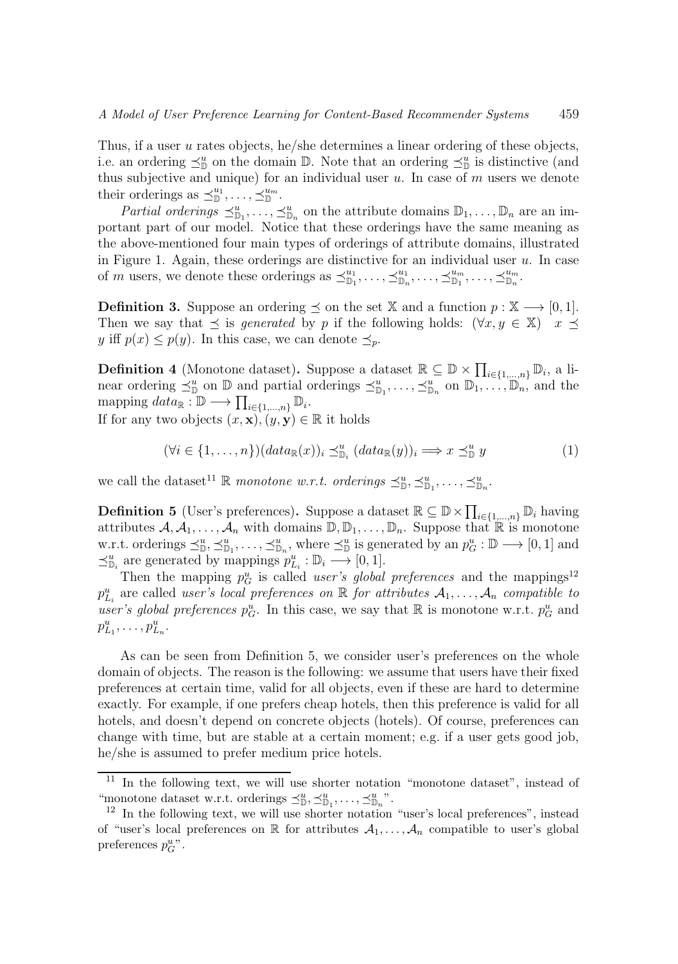Thus, if a user u rates objects, he/she determines a linear ordering of these objects, i.e. an ordering  $\preceq^u_{\mathbb{D}}$  on the domain  $\mathbb{D}$ . Note that an ordering  $\preceq^u_{\mathbb{D}}$  is distinctive (and thus subjective and unique) for an individual user  $u$ . In case of  $m$  users we denote their orderings as  $\preceq^{\!u_1}_{\mathbb{D}}, \ldots, \preceq^{\!u_m}_{\mathbb{D}}$ .

Partial orderings  $\preceq^u_{\mathbb{D}_1}, \ldots, \preceq^u_{\mathbb{D}_n}$  on the attribute domains  $\mathbb{D}_1, \ldots, \mathbb{D}_n$  are an important part of our model. Notice that these orderings have the same meaning as the above-mentioned four main types of orderings of attribute domains, illustrated in Figure 1. Again, these orderings are distinctive for an individual user  $u$ . In case of m users, we denote these orderings as  $\preceq_{\mathbb{D}_1}^{u_1}, \ldots, \preceq_{\mathbb{D}_n}^{u_1}, \ldots, \preceq_{\mathbb{D}_1}^{u_m}, \ldots, \preceq_{\mathbb{D}_n}^{u_m}$ .

**Definition 3.** Suppose an ordering  $\leq$  on the set X and a function  $p : X \longrightarrow [0, 1]$ . Then we say that  $\preceq$  is *generated* by p if the following holds:  $(\forall x, y \in \mathbb{X})$  x  $\preceq$ y iff  $p(x) \leq p(y)$ . In this case, we can denote  $\preceq_p$ .

**Definition 4** (Monotone dataset). Suppose a dataset  $\mathbb{R} \subseteq \mathbb{D} \times \prod_{i \in \{1,\ldots,n\}} \mathbb{D}_i$ , a linear ordering  $\preceq_{\mathbb{D}}^u$  on  $\mathbb{D}$  and partial orderings  $\preceq_{\mathbb{D}_1}^u$ , ...,  $\preceq_{\mathbb{D}_n}^u$  on  $\mathbb{D}_1, \ldots, \mathbb{D}_n$ , and the mapping  $data_{\mathbb{R}} : \mathbb{D} \longrightarrow \prod_{i \in \{1,\dots,n\}} \mathbb{D}_i$ .

If for any two objects  $(x, \mathbf{x}), (y, \mathbf{y}) \in \mathbb{R}$  it holds

$$
(\forall i \in \{1, ..., n\}) (data_{\mathbb{R}}(x))_i \preceq^u_{\mathbb{D}_i} (data_{\mathbb{R}}(y))_i \Longrightarrow x \preceq^u_{\mathbb{D}} y \tag{1}
$$

we call the dataset<sup>11</sup> R monotone w.r.t. orderings  $\preceq^u_{\mathbb{D}}, \preceq^u_{\mathbb{D}_1}, \ldots, \preceq^u_{\mathbb{D}_n}$ .

**Definition 5** (User's preferences). Suppose a dataset  $\mathbb{R} \subseteq \mathbb{D} \times \prod_{i \in \{1,\dots,n\}} \mathbb{D}_i$  having attributes  $\mathcal{A}, \mathcal{A}_1, \ldots, \mathcal{A}_n$  with domains  $\mathbb{D}, \mathbb{D}_1, \ldots, \mathbb{D}_n$ . Suppose that  $\mathbb{R}$  is monotone w.r.t. orderings  $\preceq^u_{\mathbb{D}}$ ,  $\preceq^u_{\mathbb{D}_1}$ , ...,  $\preceq^u_{\mathbb{D}_n}$ , where  $\preceq^u_{\mathbb{D}}$  is generated by an  $p_G^u : \mathbb{D} \longrightarrow [0, 1]$  and  $\preceq^u_{\mathbb{D}_i}$  are generated by mappings  $p_{L_i}^u : \mathbb{D}_i \longrightarrow [0,1].$ 

Then the mapping  $p_G^u$  is called *user's global preferences* and the mappings<sup>12</sup>  $p_{L_i}^u$  are called user's local preferences on  $\mathbb R$  for attributes  $\mathcal{A}_1, \ldots, \mathcal{A}_n$  compatible to user's global preferences  $p_G^u$ . In this case, we say that  $\mathbb R$  is monotone w.r.t.  $p_G^u$  and  $p_{L_1}^u, \ldots, p_{L_n}^u.$ 

As can be seen from Definition 5, we consider user's preferences on the whole domain of objects. The reason is the following: we assume that users have their fixed preferences at certain time, valid for all objects, even if these are hard to determine exactly. For example, if one prefers cheap hotels, then this preference is valid for all hotels, and doesn't depend on concrete objects (hotels). Of course, preferences can change with time, but are stable at a certain moment; e.g. if a user gets good job, he/she is assumed to prefer medium price hotels.

<sup>11</sup> In the following text, we will use shorter notation "monotone dataset", instead of "monotone dataset w.r.t. orderings  $\preceq^u_{\mathbb{D}}, \preceq^u_{\mathbb{D}_1}, \ldots, \preceq^u_{\mathbb{D}_n}$ ".

<sup>&</sup>lt;sup>12</sup> In the following text, we will use shorter notation "user's local preferences", instead of "user's local preferences on R for attributes  $A_1, \ldots, A_n$  compatible to user's global preferences  $p_G^u$ ".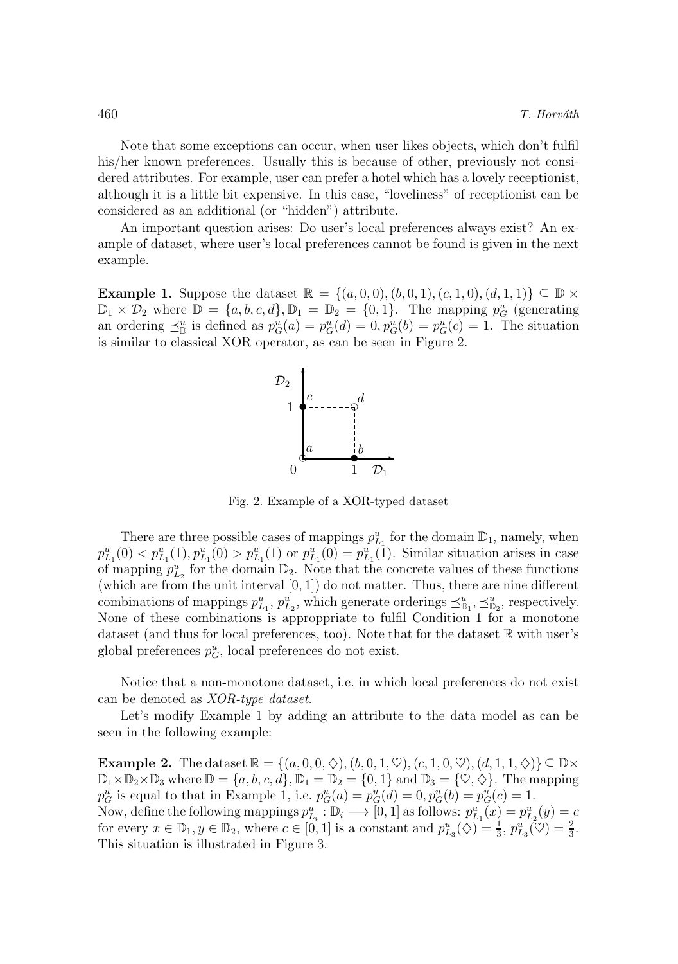Note that some exceptions can occur, when user likes objects, which don't fulfil his/her known preferences. Usually this is because of other, previously not considered attributes. For example, user can prefer a hotel which has a lovely receptionist, although it is a little bit expensive. In this case, "loveliness" of receptionist can be considered as an additional (or "hidden") attribute.

An important question arises: Do user's local preferences always exist? An example of dataset, where user's local preferences cannot be found is given in the next example.

**Example 1.** Suppose the dataset  $\mathbb{R} = \{(a, 0, 0), (b, 0, 1), (c, 1, 0), (d, 1, 1)\}\subseteq \mathbb{D} \times$  $\mathbb{D}_1 \times \mathcal{D}_2$  where  $\mathbb{D} = \{a, b, c, d\}, \mathbb{D}_1 = \mathbb{D}_2 = \{0, 1\}.$  The mapping  $p_G^u$  (generating an ordering  $\preceq^u_{\mathbb{D}}$  is defined as  $p_G^u(a) = p_G^u(d) = 0, p_G^u(b) = p_G^u(c) = 1$ . The situation is similar to classical XOR operator, as can be seen in Figure 2.



Fig. 2. Example of a XOR-typed dataset

There are three possible cases of mappings  $p_{L_1}^u$  for the domain  $\mathbb{D}_1$ , namely, when  $p_{L_1}^u(0) < p_{L_1}^u(1), p_{L_1}^u(0) > p_{L_1}^u(1)$  or  $p_{L_1}^u(0) = p_{L_1}^u(1)$ . Similar situation arises in case of mapping  $p_{L_2}^u$  for the domain  $\mathbb{D}_2$ . Note that the concrete values of these functions (which are from the unit interval  $[0, 1]$ ) do not matter. Thus, there are nine different combinations of mappings  $p_{L_1}^u$ ,  $p_{L_2}^u$ , which generate orderings  $\preceq_{\mathbb{D}_1}^u$ ,  $\preceq_{\mathbb{D}_2}^u$ , respectively. None of these combinations is approppriate to fulfil Condition 1 for a monotone dataset (and thus for local preferences, too). Note that for the dataset  $\mathbb R$  with user's global preferences  $p_G^u$ , local preferences do not exist.

Notice that a non-monotone dataset, i.e. in which local preferences do not exist can be denoted as XOR-type dataset.

Let's modify Example 1 by adding an attribute to the data model as can be seen in the following example:

**Example 2.** The dataset  $\mathbb{R} = \{(a, 0, 0, \diamondsuit), (b, 0, 1, \heartsuit), (c, 1, 0, \heartsuit), (d, 1, 1, \diamondsuit)\}\subseteq \mathbb{D}\times$  $\mathbb{D}_1\times\mathbb{D}_2\times\mathbb{D}_3$  where  $\mathbb{D} = \{a, b, c, d\}, \mathbb{D}_1 = \mathbb{D}_2 = \{0, 1\}$  and  $\mathbb{D}_3 = \{\heartsuit, \diamondsuit\}.$  The mapping  $p_G^u$  is equal to that in Example 1, i.e.  $p_G^u(a) = p_G^u(d) = 0, p_G^u(b) = p_G^u(c) = 1$ . Now, define the following mappings  $p_{L_i}^u : \mathbb{D}_i \longrightarrow [0,1]$  as follows:  $p_{L_1}^u(x) = p_{L_2}^u(y) = c$ for every  $x \in \mathbb{D}_1, y \in \mathbb{D}_2$ , where  $c \in [0, 1]$  is a constant and  $p_{L_3}^u(\diamondsuit) = \frac{1}{3}$ ,  $p_{L_3}^u(\diamondsuit) = \frac{2}{3}$ . This situation is illustrated in Figure 3.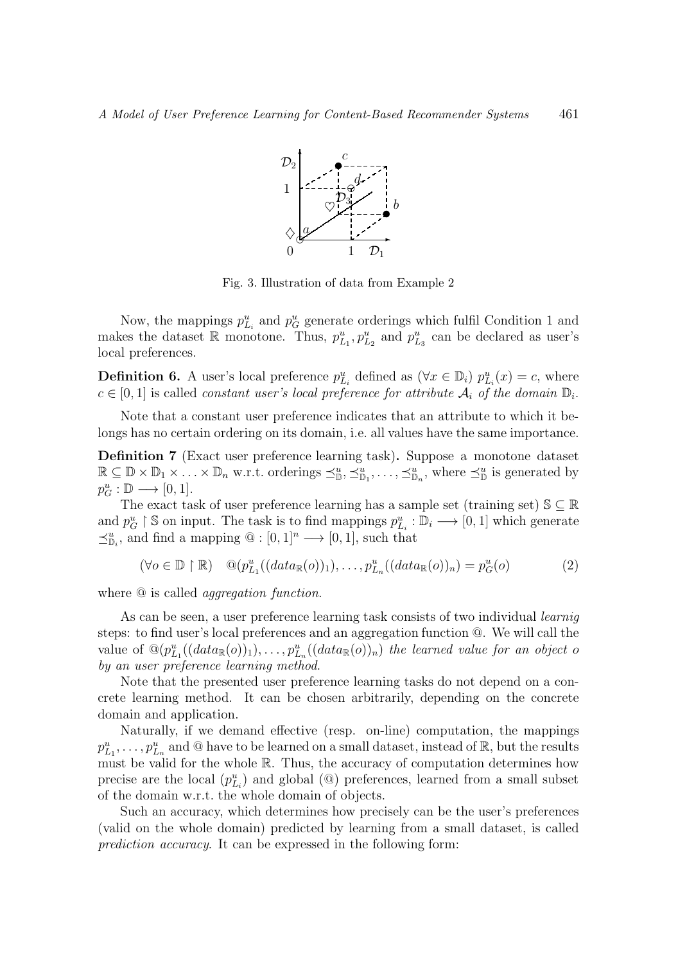

Fig. 3. Illustration of data from Example 2

Now, the mappings  $p_{L_i}^u$  and  $p_G^u$  generate orderings which fulfil Condition 1 and makes the dataset R monotone. Thus,  $p_{L_1}^u, p_{L_2}^u$  and  $p_{L_3}^u$  can be declared as user's local preferences.

**Definition 6.** A user's local preference  $p_{L_i}^u$  defined as  $(\forall x \in \mathbb{D}_i)$   $p_{L_i}^u(x) = c$ , where  $c \in [0,1]$  is called *constant user's local preference for attribute*  $\mathcal{A}_i$  of the domain  $\mathbb{D}_i$ .

Note that a constant user preference indicates that an attribute to which it belongs has no certain ordering on its domain, i.e. all values have the same importance.

Definition 7 (Exact user preference learning task). Suppose a monotone dataset  $\mathbb{R} \subseteq \mathbb{D} \times \mathbb{D}_1 \times \ldots \times \mathbb{D}_n$  w.r.t. orderings  $\preceq^u_{\mathbb{D}}, \preceq^u_{\mathbb{D}_1}, \ldots, \preceq^u_{\mathbb{D}_n}$ , where  $\preceq^u_{\mathbb{D}}$  is generated by  $p_G^u : \mathbb{D} \longrightarrow [0,1].$ 

The exact task of user preference learning has a sample set (training set)  $\mathbb{S} \subseteq \mathbb{R}$ and  $p_G^u \upharpoonright \mathbb{S}$  on input. The task is to find mappings  $p_{L_i}^u : \mathbb{D}_i \longrightarrow [0,1]$  which generate  $\preceq^u_{\mathbb{D}_i}$ , and find a mapping  $\mathbb{Q}: [0,1]^n \longrightarrow [0,1]$ , such that

$$
(\forall o \in \mathbb{D} \upharpoonright \mathbb{R}) \quad \mathbb{Q}(p_{L_1}^u((data_{\mathbb{R}}(o))_1), \dots, p_{L_n}^u((data_{\mathbb{R}}(o))_n) = p_G^u(o) \tag{2}
$$

where  $\Theta$  is called *aggregation function*.

As can be seen, a user preference learning task consists of two individual *learniq* steps: to find user's local preferences and an aggregation function @. We will call the value of  $\mathbb{Q}(p_{L_1}^u((data_{\mathbb{R}}(o))_1), \ldots, p_{L_n}^u((data_{\mathbb{R}}(o))_n)$  the learned value for an object o by an user preference learning method.

Note that the presented user preference learning tasks do not depend on a concrete learning method. It can be chosen arbitrarily, depending on the concrete domain and application.

Naturally, if we demand effective (resp. on-line) computation, the mappings  $p_{L_1}^u, \ldots, p_{L_n}^u$  and @ have to be learned on a small dataset, instead of  $\mathbb{R}$ , but the results must be valid for the whole R. Thus, the accuracy of computation determines how precise are the local  $(p_{L_i}^u)$  and global  $(\textcircled{\textcircled{\textcirc}})$  preferences, learned from a small subset of the domain w.r.t. the whole domain of objects.

Such an accuracy, which determines how precisely can be the user's preferences (valid on the whole domain) predicted by learning from a small dataset, is called prediction accuracy. It can be expressed in the following form: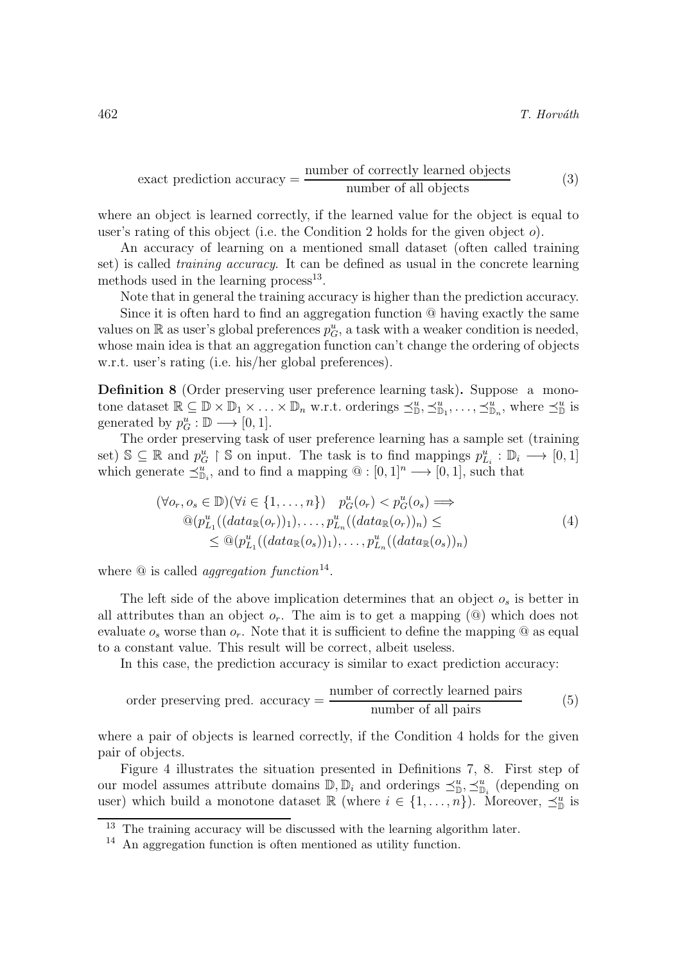$$
exact prediction accuracy = \frac{number of correctly learned objects}{number of all objects}
$$
 (3)

where an object is learned correctly, if the learned value for the object is equal to user's rating of this object (i.e. the Condition 2 holds for the given object o).

An accuracy of learning on a mentioned small dataset (often called training set) is called training accuracy. It can be defined as usual in the concrete learning methods used in the learning process<sup>13</sup>.

Note that in general the training accuracy is higher than the prediction accuracy. Since it is often hard to find an aggregation function @ having exactly the same values on  $\mathbb R$  as user's global preferences  $p_G^u$ , a task with a weaker condition is needed, whose main idea is that an aggregation function can't change the ordering of objects w.r.t. user's rating (i.e. his/her global preferences).

Definition 8 (Order preserving user preference learning task). Suppose a monotone dataset  $\mathbb{R} \subseteq \mathbb{D} \times \mathbb{D}_1 \times \ldots \times \mathbb{D}_n$  w.r.t. orderings  $\preceq^u_{\mathbb{D}}, \preceq^u_{\mathbb{D}_1}, \ldots, \preceq^u_{\mathbb{D}_n}$ , where  $\preceq^u_{\mathbb{D}}$  is generated by  $p_G^u : \mathbb{D} \longrightarrow [0,1].$ 

The order preserving task of user preference learning has a sample set (training set)  $\mathbb{S} \subseteq \mathbb{R}$  and  $p_G^u \upharpoonright \mathbb{S}$  on input. The task is to find mappings  $p_{L_i}^u : \mathbb{D}_i \longrightarrow [0,1]$ which generate  $\preceq^u_{\mathbb{D}_i}$ , and to find a mapping  $\mathbb{Q} : [0,1]^n \longrightarrow [0,1]$ , such that

$$
(\forall o_r, o_s \in \mathbb{D})(\forall i \in \{1, ..., n\}) \quad p_G^u(o_r) < p_G^u(o_s) \Longrightarrow
$$
\n
$$
\begin{aligned}\n\textcircled{2}(p_{L_1}^u((data_{\mathbb{R}}(o_r))_1), \dots, p_{L_n}^u((data_{\mathbb{R}}(o_r))_n) < \\
&\leq \textcircled{2}(p_{L_1}^u((data_{\mathbb{R}}(o_s))_1), \dots, p_{L_n}^u((data_{\mathbb{R}}(o_s))_n)\n\end{aligned} \tag{4}
$$

where  $\Omega$  is called *aggregation function*<sup>14</sup>.

The left side of the above implication determines that an object  $o_s$  is better in all attributes than an object  $o_r$ . The aim is to get a mapping ( $\circled{a}$ ) which does not evaluate  $o_s$  worse than  $o_r$ . Note that it is sufficient to define the mapping  $\Omega$  as equal to a constant value. This result will be correct, albeit useless.

In this case, the prediction accuracy is similar to exact prediction accuracy:

order preserving pred. accuracy = 
$$
\frac{\text{number of correctly learned pairs}}{\text{number of all pairs}} \tag{5}
$$

where a pair of objects is learned correctly, if the Condition 4 holds for the given pair of objects.

Figure 4 illustrates the situation presented in Definitions 7, 8. First step of our model assumes attribute domains  $\mathbb{D}, \mathbb{D}_i$  and orderings  $\preceq^u_{\mathbb{D}}, \preceq^u_{\mathbb{D}_i}$  (depending on user) which build a monotone dataset  $\mathbb{R}$  (where  $i \in \{1, \ldots, n\}$ ). Moreover,  $\preceq_{\mathbb{D}}^u$  is

<sup>&</sup>lt;sup>13</sup> The training accuracy will be discussed with the learning algorithm later.

<sup>14</sup> An aggregation function is often mentioned as utility function.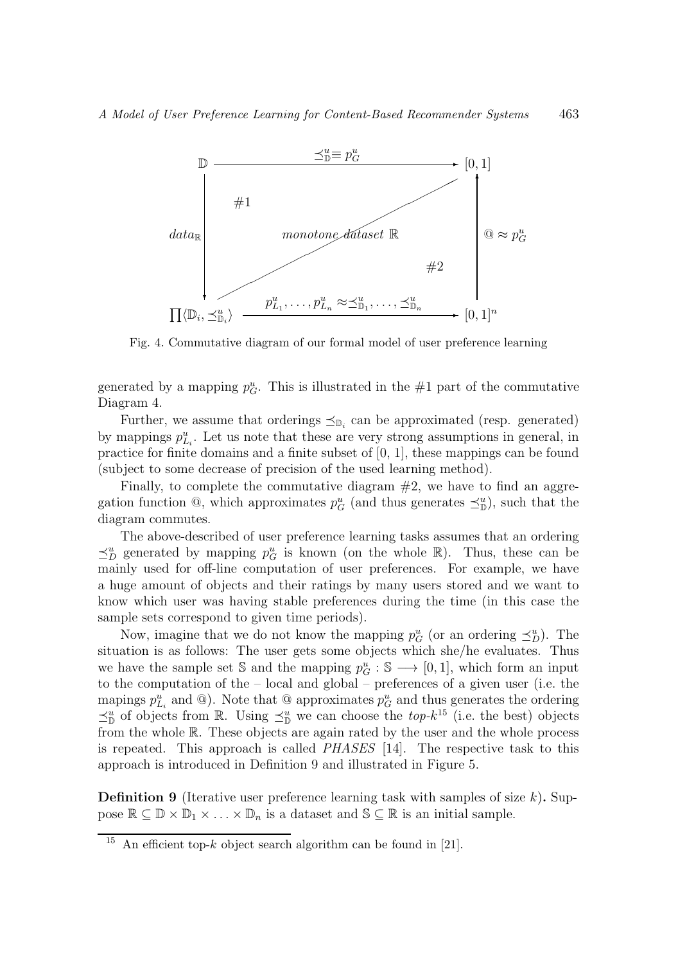

Fig. 4. Commutative diagram of our formal model of user preference learning

generated by a mapping  $p_G^u$ . This is illustrated in the #1 part of the commutative Diagram 4.

Further, we assume that orderings  $\leq_{\mathbb{D}_i}$  can be approximated (resp. generated) by mappings  $p_{L_i}^u$ . Let us note that these are very strong assumptions in general, in practice for finite domains and a finite subset of [0, 1], these mappings can be found (subject to some decrease of precision of the used learning method).

Finally, to complete the commutative diagram  $#2$ , we have to find an aggregation function  $\mathbb{Q}$ , which approximates  $p_G^u$  (and thus generates  $\preceq^u_{\mathbb{D}}$ ), such that the diagram commutes.

The above-described of user preference learning tasks assumes that an ordering  $\preceq^u_D$  generated by mapping  $p_G^u$  is known (on the whole  $\mathbb{R}$ ). Thus, these can be mainly used for off-line computation of user preferences. For example, we have a huge amount of objects and their ratings by many users stored and we want to know which user was having stable preferences during the time (in this case the sample sets correspond to given time periods).

Now, imagine that we do not know the mapping  $p_G^u$  (or an ordering  $\preceq_D^u$ ). The situation is as follows: The user gets some objects which she/he evaluates. Thus we have the sample set  $\mathcal{S}$  and the mapping  $p_G^u : \mathcal{S} \longrightarrow [0,1]$ , which form an input to the computation of the – local and global – preferences of a given user (i.e. the mapings  $p_{L_i}^u$  and  $\omega$ ). Note that  $\omega$  approximates  $p_G^u$  and thus generates the ordering  $\preceq^u_{\mathbb{D}}$  of objects from R. Using  $\preceq^u_{\mathbb{D}}$  we can choose the *top-k*<sup>15</sup> (i.e. the best) objects from the whole R. These objects are again rated by the user and the whole process is repeated. This approach is called PHASES [14]. The respective task to this approach is introduced in Definition 9 and illustrated in Figure 5.

**Definition 9** (Iterative user preference learning task with samples of size  $k$ ). Suppose  $\mathbb{R} \subseteq \mathbb{D} \times \mathbb{D}_1 \times \ldots \times \mathbb{D}_n$  is a dataset and  $\mathbb{S} \subseteq \mathbb{R}$  is an initial sample.

<sup>&</sup>lt;sup>15</sup> An efficient top-k object search algorithm can be found in [21].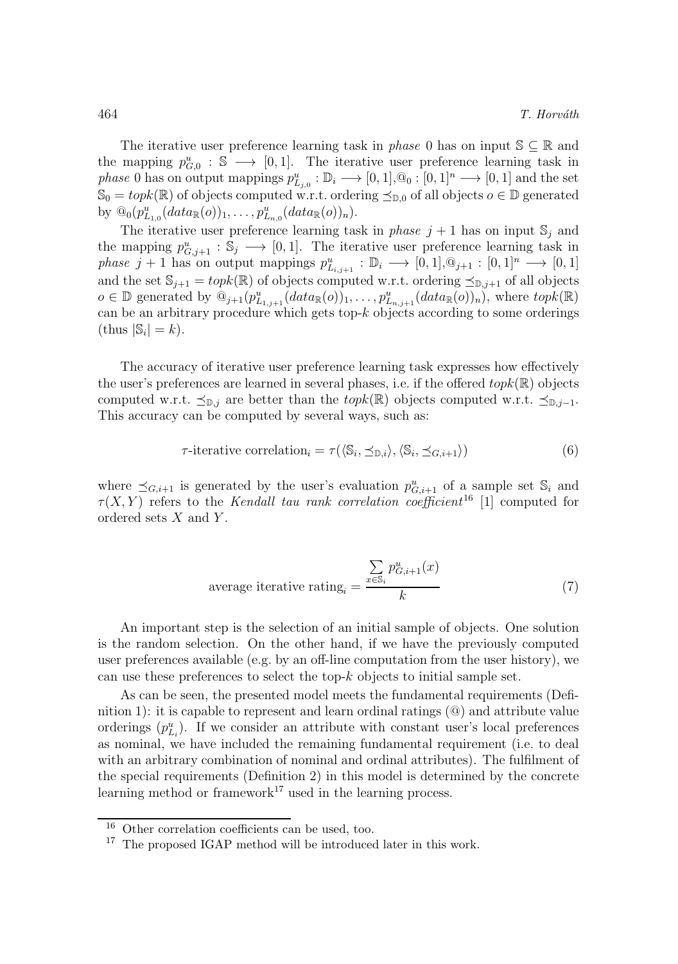The iterative user preference learning task in *phase* 0 has on input  $\mathbb{S} \subseteq \mathbb{R}$  and the mapping  $p_{G,0}^u : \mathbb{S} \longrightarrow [0,1]$ . The iterative user preference learning task in phase 0 has on output mappings  $p_{L_{j,0}}^u : \mathbb{D}_i \longrightarrow [0,1], \mathbb{Q}_0 : [0,1]^n \longrightarrow [0,1]$  and the set  $\mathbb{S}_0 = \text{topk}(\mathbb{R})$  of objects computed w.r.t. ordering  $\preceq_{\mathbb{D},0}$  of all objects  $o \in \mathbb{D}$  generated by  $\mathbb{Q}_0(p_{L_{1,0}}^u(data_{\mathbb{R}}(o))_1, \ldots, p_{L_{n,0}}^u(data_{\mathbb{R}}(o))_n).$ 

The iterative user preference learning task in *phase*  $j + 1$  has on input  $\mathbb{S}_j$  and the mapping  $p_{G,j+1}^u : \mathbb{S}_j \longrightarrow [0,1]$ . The iterative user preference learning task in phase  $j+1$  has on output mappings  $p_{L_{i,j+1}}^u : \mathbb{D}_i \longrightarrow [0,1], \mathbb{Q}_{j+1} : [0,1]^n \longrightarrow [0,1]$ and the set  $\mathbb{S}_{j+1} = topk(\mathbb{R})$  of objects computed w.r.t. ordering  $\preceq_{\mathbb{D},j+1}$  of all objects  $o \in \mathbb{D}$  generated by  $\widehat{\mathbb{Q}_{j+1}(p_{L_{1,j+1}}^u(data_{\mathbb{R}}(o))_1, \ldots, p_{L_{n,j+1}}^u(data_{\mathbb{R}}(o))_n)}$ , where  $topk(\mathbb{R})$ can be an arbitrary procedure which gets top-k objects according to some orderings  $(\text{thus } |\mathbb{S}_i| = k).$ 

The accuracy of iterative user preference learning task expresses how effectively the user's preferences are learned in several phases, i.e. if the offered  $topk(\mathbb{R})$  objects computed w.r.t.  $\preceq_{\mathbb{D},j}$  are better than the topk(R) objects computed w.r.t.  $\preceq_{\mathbb{D},j-1}$ . This accuracy can be computed by several ways, such as:

$$
\tau\text{-iterative correlation}_{i} = \tau(\langle \mathbb{S}_{i}, \preceq_{\mathbb{D}, i} \rangle, \langle \mathbb{S}_{i}, \preceq_{G, i+1} \rangle) \tag{6}
$$

where  $\preceq_{G,i+1}$  is generated by the user's evaluation  $p_{G,i+1}^u$  of a sample set  $\mathbb{S}_i$  and  $\tau(X, Y)$  refers to the Kendall tau rank correlation coefficient<sup>16</sup> [1] computed for ordered sets  $X$  and  $Y$ .

average iterative rating<sub>i</sub> = 
$$
\frac{\sum_{x \in \mathbb{S}_i} p_{G,i+1}^u(x)}{k}
$$
 (7)

An important step is the selection of an initial sample of objects. One solution is the random selection. On the other hand, if we have the previously computed user preferences available (e.g. by an off-line computation from the user history), we can use these preferences to select the top- $k$  objects to initial sample set.

As can be seen, the presented model meets the fundamental requirements (Definition 1): it is capable to represent and learn ordinal ratings (@) and attribute value orderings  $(p_{L_i}^u)$ . If we consider an attribute with constant user's local preferences as nominal, we have included the remaining fundamental requirement (i.e. to deal with an arbitrary combination of nominal and ordinal attributes). The fulfilment of the special requirements (Definition 2) in this model is determined by the concrete learning method or framework<sup>17</sup> used in the learning process.

Other correlation coefficients can be used, too.

<sup>&</sup>lt;sup>17</sup> The proposed IGAP method will be introduced later in this work.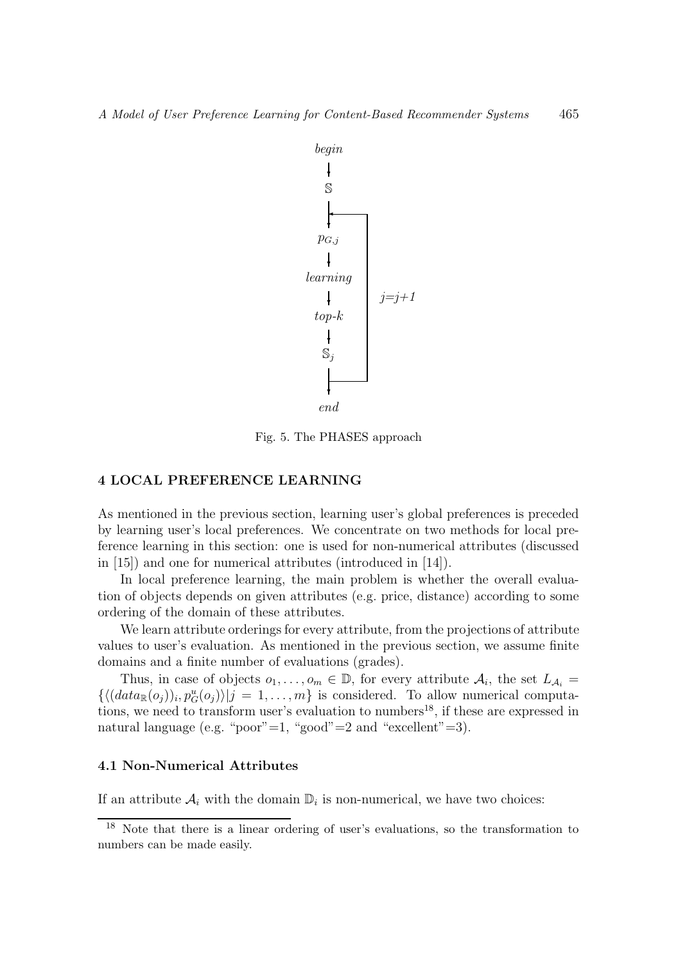

Fig. 5. The PHASES approach

## 4 LOCAL PREFERENCE LEARNING

As mentioned in the previous section, learning user's global preferences is preceded by learning user's local preferences. We concentrate on two methods for local preference learning in this section: one is used for non-numerical attributes (discussed in [15]) and one for numerical attributes (introduced in [14]).

In local preference learning, the main problem is whether the overall evaluation of objects depends on given attributes (e.g. price, distance) according to some ordering of the domain of these attributes.

We learn attribute orderings for every attribute, from the projections of attribute values to user's evaluation. As mentioned in the previous section, we assume finite domains and a finite number of evaluations (grades).

Thus, in case of objects  $o_1, \ldots, o_m \in \mathbb{D}$ , for every attribute  $\mathcal{A}_i$ , the set  $L_{\mathcal{A}_i} =$  $\{ \langle (data_{\mathbb{R}}(o_j))_i, p_G^u(o_j) \rangle | j = 1, \ldots, m \}$  is considered. To allow numerical computations, we need to transform user's evaluation to numbers<sup>18</sup>, if these are expressed in natural language (e.g. "poor"=1, "good"=2 and "excellent"=3).

#### 4.1 Non-Numerical Attributes

If an attribute  $A_i$  with the domain  $\mathbb{D}_i$  is non-numerical, we have two choices:

<sup>18</sup> Note that there is a linear ordering of user's evaluations, so the transformation to numbers can be made easily.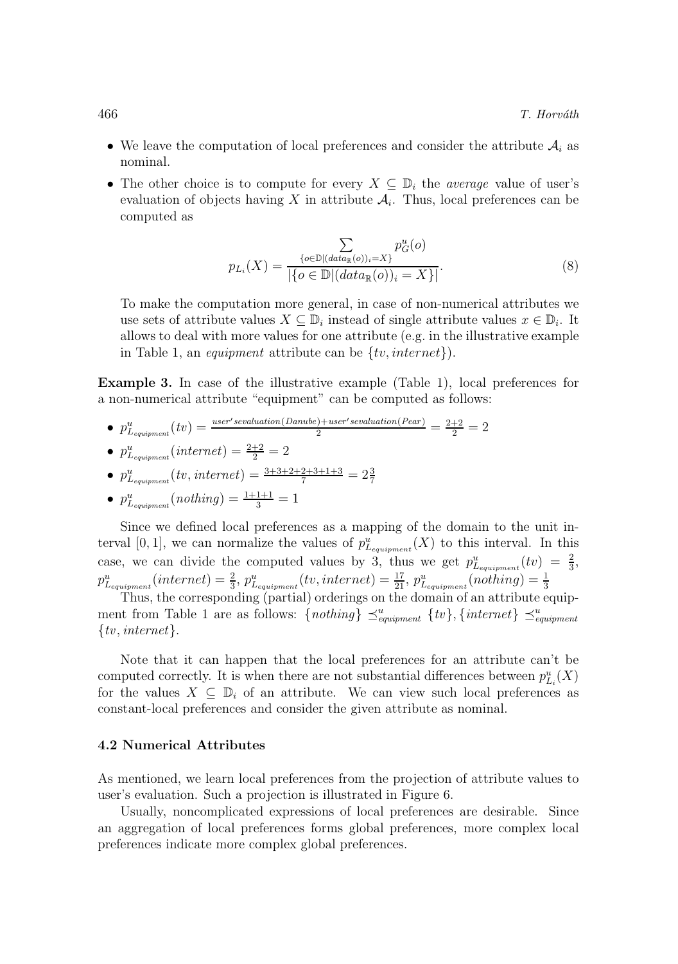- We leave the computation of local preferences and consider the attribute  $A_i$  as nominal.
- The other choice is to compute for every  $X \subseteq \mathbb{D}_i$  the *average* value of user's evaluation of objects having X in attribute  $A_i$ . Thus, local preferences can be computed as

$$
p_{L_i}(X) = \frac{\sum_{\{o \in \mathbb{D} | (data_{\mathbb{R}}(o))_i = X\}} p_G^u(o)}{|\{o \in \mathbb{D} | (data_{\mathbb{R}}(o))_i = X\}|}.
$$
(8)

To make the computation more general, in case of non-numerical attributes we use sets of attribute values  $X \subseteq \mathbb{D}_i$  instead of single attribute values  $x \in \mathbb{D}_i$ . It allows to deal with more values for one attribute (e.g. in the illustrative example in Table 1, an *equipment* attribute can be  $\{tv, internet\}$ .

Example 3. In case of the illustrative example (Table 1), local preferences for a non-numerical attribute "equipment" can be computed as follows:

•  $p_{L_{equipment}}^u(tv) = \frac{user's evaluation(Danube) + user's evaluation(Pear)}{2} = \frac{2+2}{2} = 2$ 

• 
$$
p_{L_{equipment}}^u(internet) = \frac{2+2}{2} = 2
$$

• 
$$
p_{L_{\text{equiv}}}(tv, internet) = \frac{3+3+2+2+3+1+3}{7} = 2\frac{3}{7}
$$

• 
$$
p_{L_{equipment}}^u(nothing) = \frac{1+1+1}{3} = 1
$$

Since we defined local preferences as a mapping of the domain to the unit interval [0, 1], we can normalize the values of  $p_{L_{equipment}}^u(X)$  to this interval. In this case, we can divide the computed values by 3, thus we get  $p_{L_{equipment}}^u(tv) = \frac{2}{3}$ ,  $p_{L_{equipment}}^u(internet) = \frac{2}{3}, p_{L_{equipment}}^u(tv, internet) = \frac{17}{21}, p_{L_{equipment}}^u(nothing) = \frac{1}{3}$ <br>Thus, the corresponding (partial) orderings on the domain of an attribute equip-

ment from Table 1 are as follows:  $\{nothing\}_{\text{equipment}}^u$   $\{tv\}, \{internet\} \preceq_{\text{equipment}}^u$  $\{tv, internet\}.$ 

Note that it can happen that the local preferences for an attribute can't be computed correctly. It is when there are not substantial differences between  $p_{L_i}^u(X)$ for the values  $X \subseteq \mathbb{D}_i$  of an attribute. We can view such local preferences as constant-local preferences and consider the given attribute as nominal.

#### 4.2 Numerical Attributes

As mentioned, we learn local preferences from the projection of attribute values to user's evaluation. Such a projection is illustrated in Figure 6.

Usually, noncomplicated expressions of local preferences are desirable. Since an aggregation of local preferences forms global preferences, more complex local preferences indicate more complex global preferences.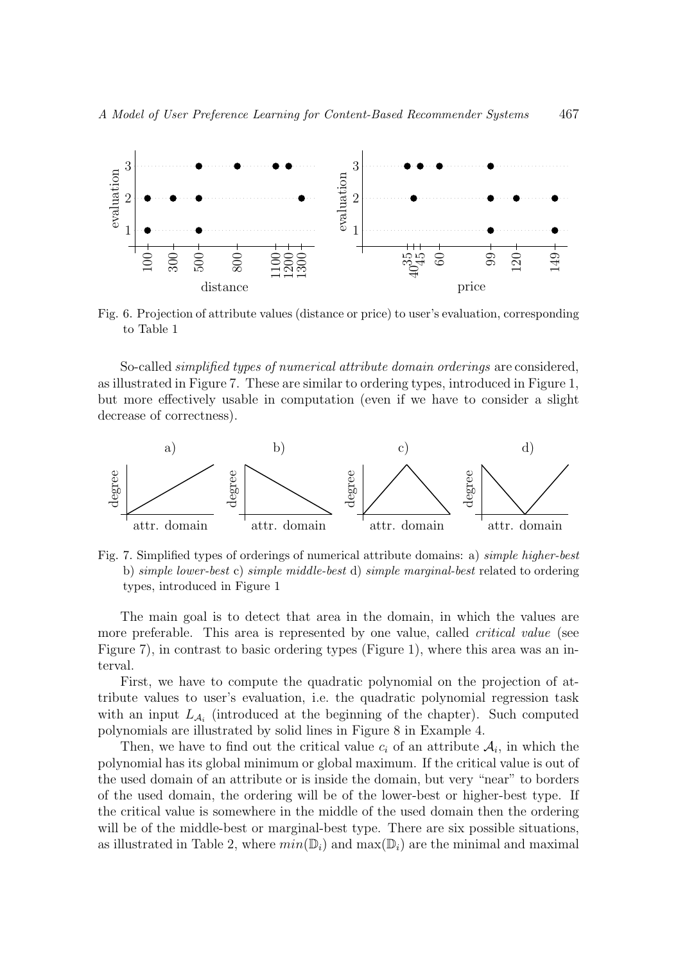

Fig. 6. Projection of attribute values (distance or price) to user's evaluation, corresponding to Table 1

So-called *simplified types of numerical attribute domain orderings* are considered. as illustrated in Figure 7. These are similar to ordering types, introduced in Figure 1, but more effectively usable in computation (even if we have to consider a slight decrease of correctness).



Fig. 7. Simplified types of orderings of numerical attribute domains: a) simple higher-best b) simple lower-best c) simple middle-best d) simple marginal-best related to ordering types, introduced in Figure 1

The main goal is to detect that area in the domain, in which the values are more preferable. This area is represented by one value, called *critical value* (see Figure 7), in contrast to basic ordering types (Figure 1), where this area was an interval.

First, we have to compute the quadratic polynomial on the projection of attribute values to user's evaluation, i.e. the quadratic polynomial regression task with an input  $L_{A_i}$  (introduced at the beginning of the chapter). Such computed polynomials are illustrated by solid lines in Figure 8 in Example 4.

Then, we have to find out the critical value  $c_i$  of an attribute  $\mathcal{A}_i$ , in which the polynomial has its global minimum or global maximum. If the critical value is out of the used domain of an attribute or is inside the domain, but very "near" to borders of the used domain, the ordering will be of the lower-best or higher-best type. If the critical value is somewhere in the middle of the used domain then the ordering will be of the middle-best or marginal-best type. There are six possible situations, as illustrated in Table 2, where  $min(\mathbb{D}_i)$  and  $max(\mathbb{D}_i)$  are the minimal and maximal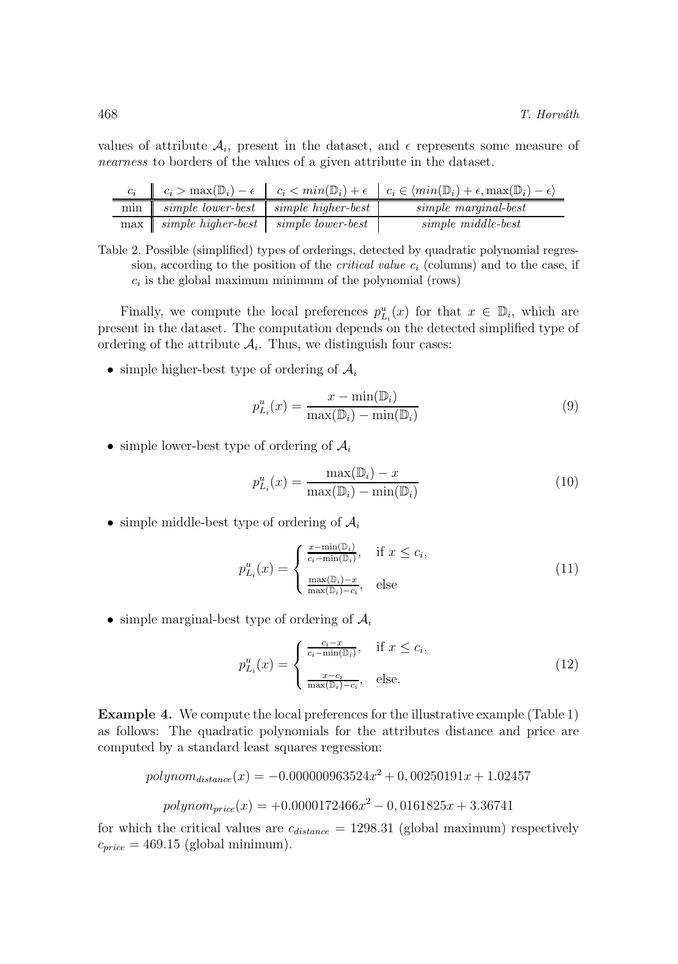values of attribute  $A_i$ , present in the dataset, and  $\epsilon$  represents some measure of nearness to borders of the values of a given attribute in the dataset.

|                                              | $\begin{array}{ccc} \parallel & c_i > \max(\mathbb{D}_i) - \epsilon & c_i < \min(\mathbb{D}_i) + \epsilon & c_i \in \langle \min(\mathbb{D}_i) + \epsilon, \max(\mathbb{D}_i) - \epsilon \rangle \end{array}$ |
|----------------------------------------------|---------------------------------------------------------------------------------------------------------------------------------------------------------------------------------------------------------------|
| min   simple lower-best   simple higher-best | simple marginal-best                                                                                                                                                                                          |
| max simple higher-best simple lower-best     | simple middle-best                                                                                                                                                                                            |

Table 2. Possible (simplified) types of orderings, detected by quadratic polynomial regression, according to the position of the *critical value*  $c_i$  (columns) and to the case, if  $c_i$  is the global maximum minimum of the polynomial (rows)

Finally, we compute the local preferences  $p_{L_i}^u(x)$  for that  $x \in \mathbb{D}_i$ , which are present in the dataset. The computation depends on the detected simplified type of ordering of the attribute  $A_i$ . Thus, we distinguish four cases:

• simple higher-best type of ordering of  $\mathcal{A}_i$ 

$$
p_{L_i}^u(x) = \frac{x - \min(\mathbb{D}_i)}{\max(\mathbb{D}_i) - \min(\mathbb{D}_i)}
$$
(9)

• simple lower-best type of ordering of  $\mathcal{A}_i$ 

$$
p_{Li}^{u}(x) = \frac{\max(\mathbb{D}_{i}) - x}{\max(\mathbb{D}_{i}) - \min(\mathbb{D}_{i})}
$$
\n(10)

• simple middle-best type of ordering of  $A_i$ 

$$
p_{Li}^{u}(x) = \begin{cases} \frac{x - \min(\mathbb{D}_{i})}{c_{i} - \min(\mathbb{D}_{i})}, & \text{if } x \leq c_{i}, \\ \frac{\max(\mathbb{D}_{i}) - x}{\max(\mathbb{D}_{i}) - c_{i}}, & \text{else} \end{cases}
$$
(11)

• simple marginal-best type of ordering of  $\mathcal{A}_i$ 

$$
p_{L_i}^u(x) = \begin{cases} \frac{c_i - x}{c_i - \min(\mathbb{D}_i)}, & \text{if } x \le c_i, \\ \frac{x - c_i}{\max(\mathbb{D}_i) - c_i}, & \text{else.} \end{cases}
$$
(12)

Example 4. We compute the local preferences for the illustrative example (Table 1) as follows: The quadratic polynomials for the attributes distance and price are computed by a standard least squares regression:

$$
polynom_{distance}(x) = -0.000000963524x^{2} + 0,00250191x + 1.02457
$$

$$
polynom_{price}(x) = +0.0000172466x^{2} - 0,0161825x + 3.36741
$$

for which the critical values are  $c_{distance} = 1298.31$  (global maximum) respectively  $c_{price} = 469.15$  (global minimum).

Î.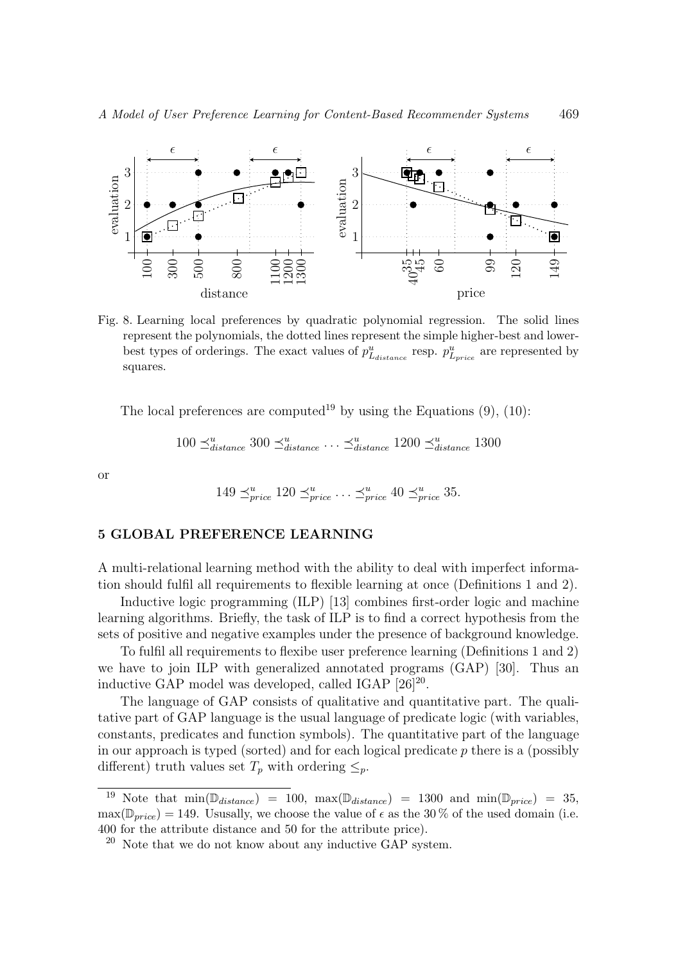

Fig. 8. Learning local preferences by quadratic polynomial regression. The solid lines represent the polynomials, the dotted lines represent the simple higher-best and lowerbest types of orderings. The exact values of  $p_{L_{distance}}^u$  resp.  $p_{L_{price}}^u$  are represented by squares.

The local preferences are computed<sup>19</sup> by using the Equations  $(9)$ ,  $(10)$ :

$$
100 \leq_{distance}^{u} 300 \leq_{distance}^{u} \dots \leq_{distance}^{u} 1200 \leq_{distance}^{u} 1300
$$

or

$$
149 \preceq^u_{price} 120 \preceq^u_{price} \dots \preceq^u_{price} 40 \preceq^u_{price} 35.
$$

#### 5 GLOBAL PREFERENCE LEARNING

A multi-relational learning method with the ability to deal with imperfect information should fulfil all requirements to flexible learning at once (Definitions 1 and 2).

Inductive logic programming (ILP) [13] combines first-order logic and machine learning algorithms. Briefly, the task of ILP is to find a correct hypothesis from the sets of positive and negative examples under the presence of background knowledge.

To fulfil all requirements to flexibe user preference learning (Definitions 1 and 2) we have to join ILP with generalized annotated programs (GAP) [30]. Thus an inductive GAP model was developed, called IGAP  $[26]^{20}$ .

The language of GAP consists of qualitative and quantitative part. The qualitative part of GAP language is the usual language of predicate logic (with variables, constants, predicates and function symbols). The quantitative part of the language in our approach is typed (sorted) and for each logical predicate  $p$  there is a (possibly different) truth values set  $T_p$  with ordering  $\leq_p$ .

Note that  $\min(\mathbb{D}_{distance}) = 100$ ,  $\max(\mathbb{D}_{distance}) = 1300$  and  $\min(\mathbb{D}_{price}) = 35$ ,  $\max(\mathbb{D}_{price}) = 149$ . Ususally, we choose the value of  $\epsilon$  as the 30 % of the used domain (i.e. 400 for the attribute distance and 50 for the attribute price).

Note that we do not know about any inductive GAP system.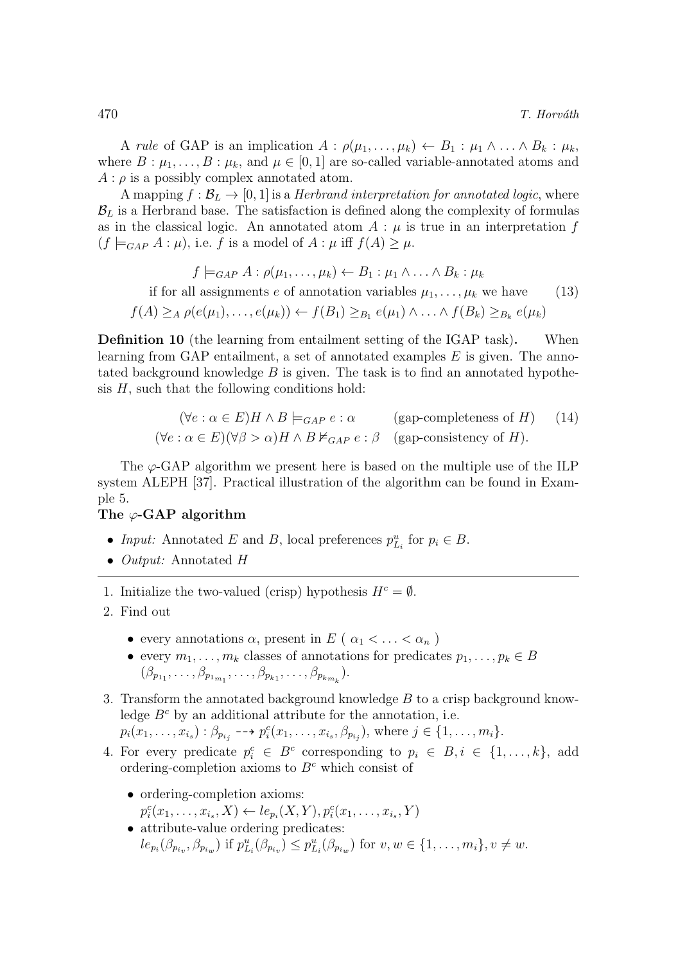A rule of GAP is an implication  $A : \rho(\mu_1, \ldots, \mu_k) \leftarrow B_1 : \mu_1 \wedge \ldots \wedge B_k : \mu_k$ where  $B: \mu_1, \ldots, B: \mu_k$ , and  $\mu \in [0, 1]$  are so-called variable-annotated atoms and  $A : \rho$  is a possibly complex annotated atom.

A mapping  $f : \mathcal{B}_L \to [0, 1]$  is a *Herbrand interpretation for annotated logic*, where  $\mathcal{B}_L$  is a Herbrand base. The satisfaction is defined along the complexity of formulas as in the classical logic. An annotated atom  $A : \mu$  is true in an interpretation f  $(f \models_{GAP} A : \mu)$ , i.e. f is a model of  $A : \mu$  iff  $f(A) \geq \mu$ .

$$
f \models_{GAP} A : \rho(\mu_1, \dots, \mu_k) \leftarrow B_1 : \mu_1 \wedge \dots \wedge B_k : \mu_k
$$
  
if for all assignments *e* of annotation variables  $\mu_1, \dots, \mu_k$  we have  

$$
f(A) \geq_A \rho(e(\mu_1), \dots, e(\mu_k)) \leftarrow f(B_1) \geq_{B_1} e(\mu_1) \wedge \dots \wedge f(B_k) \geq_{B_k} e(\mu_k)
$$

Definition 10 (the learning from entailment setting of the IGAP task). When learning from GAP entailment, a set of annotated examples  $E$  is given. The annotated background knowledge  $B$  is given. The task is to find an annotated hypothesis  $H$ , such that the following conditions hold:

$$
(\forall e : \alpha \in E) H \land B \models_{GAP} e : \alpha \qquad \text{(gap-completeness of } H) \qquad (14)
$$
  

$$
(\forall e : \alpha \in E)(\forall \beta > \alpha) H \land B \nvDash_{GAP} e : \beta \qquad \text{(gap-consistency of } H).
$$

The  $\varphi$ -GAP algorithm we present here is based on the multiple use of the ILP system ALEPH [37]. Practical illustration of the algorithm can be found in Example 5.

## The  $\varphi$ -GAP algorithm

- Input: Annotated E and B, local preferences  $p_{L_i}^u$  for  $p_i \in B$ .
- Output: Annotated H
- 1. Initialize the two-valued (crisp) hypothesis  $H<sup>c</sup> = \emptyset$ .
- 2. Find out
	- every annotations  $\alpha$ , present in E ( $\alpha_1 < \ldots < \alpha_n$ )
	- every  $m_1, \ldots, m_k$  classes of annotations for predicates  $p_1, \ldots, p_k \in B$  $(\beta_{p_{11}}, \ldots, \beta_{p_{1m_1}}, \ldots, \beta_{p_{k_1}}, \ldots, \beta_{p_{k_{m_k}}}).$
- 3. Transform the annotated background knowledge B to a crisp background knowledge  $B^c$  by an additional attribute for the annotation, i.e.  $p_i(x_1,...,x_{i_s}): \beta_{p_{i_j}} \dashrightarrow p_i^c(x_1,...,x_{i_s},\beta_{p_{i_j}}),$  where  $j \in \{1,...,m_i\}.$
- 4. For every predicate  $p_i^c \in B^c$  corresponding to  $p_i \in B, i \in \{1, ..., k\}$ , add ordering-completion axioms to  $B<sup>c</sup>$  which consist of
	- ordering-completion axioms:  $p_i^c(x_1, ..., x_{i_s}, X) \leftarrow le_{p_i}(X, Y), p_i^c(x_1, ..., x_{i_s}, Y)$
	- attribute-value ordering predicates:  $le_{p_i}(\beta_{p_{i_v}}, \beta_{p_{i_w}})$  if  $p_{L_i}^u(\beta_{p_{i_v}}) \leq p_{L_i}^u(\beta_{p_{i_w}})$  for  $v, w \in \{1, ..., m_i\}, v \neq w$ .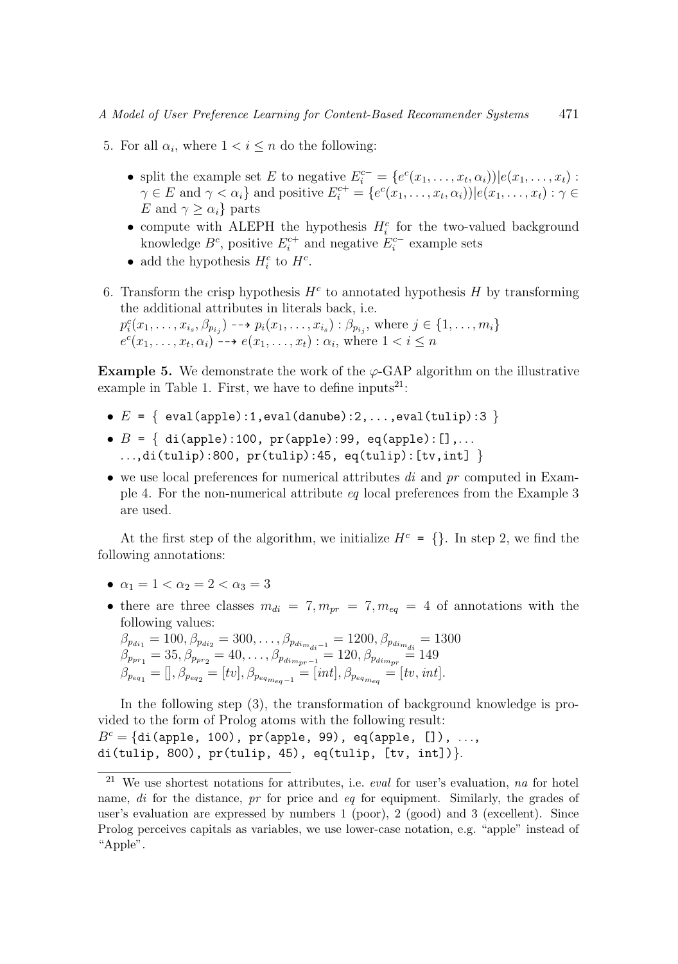- 5. For all  $\alpha_i$ , where  $1 < i \leq n$  do the following:
	- split the example set E to negative  $E_i^{c-} = \{e^c(x_1, \ldots, x_t, \alpha_i) | e(x_1, \ldots, x_t) :$  $\gamma \in E$  and  $\gamma < \alpha_i$  and positive  $E_i^{c+} = \{e^c(x_1, \ldots, x_t, \alpha_i) | e(x_1, \ldots, x_t) : \gamma \in E\}$ E and  $\gamma \geq \alpha_i$  parts
	- compute with ALEPH the hypothesis  $H_i^c$  for the two-valued background knowledge  $B^c$ , positive  $E_i^{c+}$  and negative  $E_i^{c-}$  example sets
	- add the hypothesis  $H_i^c$  to  $H^c$ .
- 6. Transform the crisp hypothesis  $H<sup>c</sup>$  to annotated hypothesis H by transforming the additional attributes in literals back, i.e.

 $p_i^c(x_1, ..., x_{i_s}, \beta_{p_{i_j}}) \longrightarrow p_i(x_1, ..., x_{i_s}) : \beta_{p_{i_j}},$  where  $j \in \{1, ..., m_i\}$  $e^{c}(x_1,\ldots,x_t,\alpha_i) \rightarrow e(x_1,\ldots,x_t): \alpha_i$ , where  $1 < i \leq n$ 

**Example 5.** We demonstrate the work of the  $\varphi$ -GAP algorithm on the illustrative example in Table 1. First, we have to define inputs<sup>21</sup>:

- $E = \{ \text{eval}(\text{apple}):1,\text{eval}(\text{danube}):2,\ldots,\text{eval}(\text{tulip}):3 \}$
- $B = \{ di(\text{apple}) : 100, pr(\text{apple}) : 99, eq(\text{apple}) : [] , \dots \}$ ...,di(tulip):800,  $pr(tulip):45$ ,  $eq(tulip):[tv,int]$
- we use local preferences for numerical attributes  $di$  and  $pr$  computed in Example 4. For the non-numerical attribute eq local preferences from the Example 3 are used.

At the first step of the algorithm, we initialize  $H^c = \{\}$ . In step 2, we find the following annotations:

- $\alpha_1 = 1 < \alpha_2 = 2 < \alpha_3 = 3$
- there are three classes  $m_{di} = 7, m_{pr} = 7, m_{eq} = 4$  of annotations with the following values:

$$
\beta_{p_{di_1}} = 100, \beta_{p_{di_2}} = 300, \dots, \beta_{p_{di_m}} = 1200, \beta_{p_{di_{m_{di}}} = 1500}
$$
  
\n
$$
\beta_{p_{pr_1}} = 35, \beta_{p_{pr_2}} = 40, \dots, \beta_{p_{di_{mr_1}-1}} = 120, \beta_{p_{di_{mr}}} = 149
$$
  
\n
$$
\beta_{p_{eq_1}} = [] , \beta_{p_{eq_2}} = [tv], \beta_{p_{eq_{mq_{eq}}-1}} = [int], \beta_{p_{eq_{mq_{eq}}} = } [tv, int].
$$

In the following step (3), the transformation of background knowledge is provided to the form of Prolog atoms with the following result:  $B<sup>c</sup> = {di(\text{apple}, 100)}, \text{ pr}(\text{apple}, 99), \text{ eq}(\text{apple}, [1]), ...,$ di(tulip, 800),  $pr(tulip, 45)$ ,  $eq(tulip, [tv, int])$ .

 $21$  We use shortest notations for attributes, i.e. *eval* for user's evaluation, na for hotel name, di for the distance, pr for price and eq for equipment. Similarly, the grades of user's evaluation are expressed by numbers 1 (poor), 2 (good) and 3 (excellent). Since Prolog perceives capitals as variables, we use lower-case notation, e.g. "apple" instead of "Apple".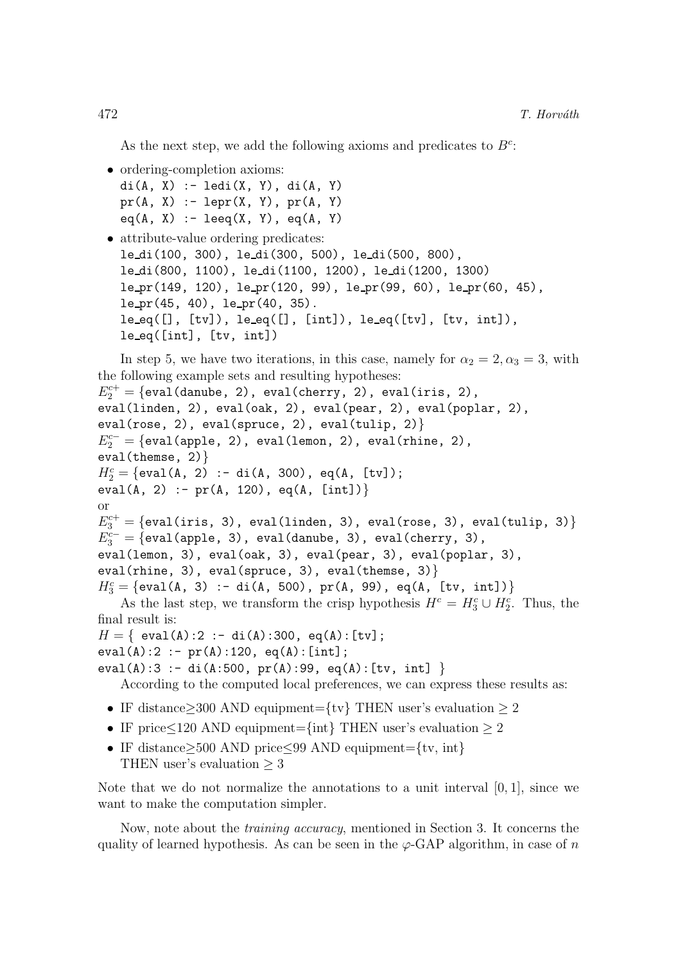As the next step, we add the following axioms and predicates to  $B^c$ :

```
• ordering-completion axioms:
  di(A, X) := Idi(X, Y), di(A, Y)pr(A, X) := lepr(X, Y), pr(A, Y)eq(A, X) := leeq(X, Y), eq(A, Y)
```

```
• attribute-value ordering predicates:
  le di(100, 300), le di(300, 500), le di(500, 800),
  le di(800, 1100), le di(1100, 1200), le di(1200, 1300)
  le pr(149, 120), le pr(120, 99), le pr(99, 60), le pr(60, 45),
  le pr(45, 40), le pr(40, 35).
  leeq([], [tv]), leeq([], [int]), leeq([tv], [tv], int]),leeq([int], [tv, int])
```

```
In step 5, we have two iterations, in this case, namely for \alpha_2 = 2, \alpha_3 = 3, with
the following example sets and resulting hypotheses:
```

```
E_2^{c+} = \{\texttt{eval}(\texttt{danube, 2)}, \texttt{eval}(\texttt{cherry, 2}), \texttt{eval}(iris, 2),eval(linden, 2), eval(oak, 2), eval(pear, 2), eval(poplar, 2),
eval(rose, 2), eval(spruce, 2), eval(tulip, 2)}
E_2^{c-} = \{ \texttt{eval}(\texttt{apple},\ 2),\ \texttt{eval}(\texttt{lemen},\ 2),\ \texttt{eval}(\texttt{chine},\ 2),eval(themse, 2)}
H_2^c = \{ \text{eval(A, 2)} \; : \; \text{di(A, 300)}, \; \text{eq(A, [tv])} \}eval(A, 2) :- pr(A, 120), eq(A, [int])}
or
E_3^{c+} = \{\texttt{eval}(iris, 3), \ \texttt{eval}(\texttt{linden}, 3), \ \texttt{eval}(rose, 3), \ \texttt{eval}(\texttt{tulp}, 3)\}E_3^{c-} = \{ \texttt{eval}(\texttt{apple},\;3)\,,\; \texttt{eval}(\texttt{danube},\;3)\,,\; \texttt{eval}(\texttt{cherry},\;3)\,,\;eval(lemon, 3), eval(oak, 3), eval(pear, 3), eval(poplar, 3),
eval(rhine, 3), eval(spruce, 3), eval(themse, 3)}
H_3^c = \{ \text{eval(A, 3)} \; : \; \text{di(A, 500)}, \; \text{pr(A, 99)}, \; \text{eq(A, [tv, int])} \}As the last step, we transform the crisp hypothesis H<sup>c</sup> = H<sub>3</sub><sup>c</sup> \cup H<sub>2</sub><sup>c</sup>. Thus, the
final result is:
H = \{ \text{ eval}(A):2 : - \text{ di}(A):300, \text{ eq}(A):[\text{tv}];eval(A):2 := pr(A):120, eq(A):[int];eval(A):3 :- di(A:500, pr(A):99, eq(A):[tv, int] }
     According to the computed local preferences, we can express these results as:
 • IF distance\geq 300 AND equipment={tv} THEN user's evaluation \geq 2
```
- IF price $\leq$ 120 AND equipment={int} THEN user's evaluation  $\geq$  2
- IF distance≥500 AND price≤99 AND equipment={tv, int} THEN user's evaluation  $\geq 3$

Note that we do not normalize the annotations to a unit interval  $[0, 1]$ , since we want to make the computation simpler.

Now, note about the training accuracy, mentioned in Section 3. It concerns the quality of learned hypothesis. As can be seen in the  $\varphi$ -GAP algorithm, in case of n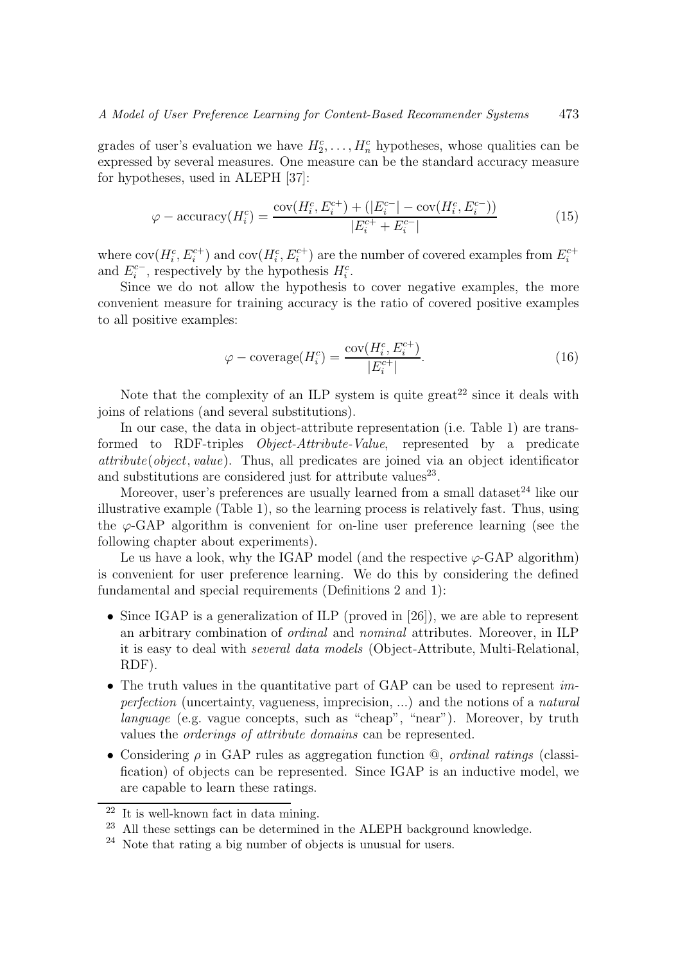grades of user's evaluation we have  $H_2^c, \ldots, H_n^c$  hypotheses, whose qualities can be expressed by several measures. One measure can be the standard accuracy measure for hypotheses, used in ALEPH [37]:

$$
\varphi - \text{accuracy}(H_i^c) = \frac{\text{cov}(H_i^c, E_i^{c+}) + (|E_i^{c-}| - \text{cov}(H_i^c, E_i^{c-}))}{|E_i^{c+} + E_i^{c-}|} \tag{15}
$$

where  $cov(H_i^c, E_i^{c+})$  and  $cov(H_i^c, E_i^{c+})$  are the number of covered examples from  $E_i^{c+}$ and  $E_i^{c-}$ , respectively by the hypothesis  $H_i^c$ .

Since we do not allow the hypothesis to cover negative examples, the more convenient measure for training accuracy is the ratio of covered positive examples to all positive examples:

$$
\varphi - \text{coverage}(H_i^c) = \frac{\text{cov}(H_i^c, E_i^{c+})}{|E_i^{c+}|}.
$$
\n(16)

Note that the complexity of an ILP system is quite great<sup>22</sup> since it deals with joins of relations (and several substitutions).

In our case, the data in object-attribute representation (i.e. Table 1) are transformed to RDF-triples Object-Attribute-Value, represented by a predicate  $attribute(object, value)$ . Thus, all predicates are joined via an object identificator and substitutions are considered just for attribute values<sup>23</sup>.

Moreover, user's preferences are usually learned from a small dataset $^{24}$  like our illustrative example (Table 1), so the learning process is relatively fast. Thus, using the  $\varphi$ -GAP algorithm is convenient for on-line user preference learning (see the following chapter about experiments).

Le us have a look, why the IGAP model (and the respective  $\varphi$ -GAP algorithm) is convenient for user preference learning. We do this by considering the defined fundamental and special requirements (Definitions 2 and 1):

- Since IGAP is a generalization of ILP (proved in [26]), we are able to represent an arbitrary combination of ordinal and nominal attributes. Moreover, in ILP it is easy to deal with several data models (Object-Attribute, Multi-Relational, RDF).
- The truth values in the quantitative part of GAP can be used to represent *im*perfection (uncertainty, vagueness, imprecision, ...) and the notions of a natural language (e.g. vague concepts, such as "cheap", "near"). Moreover, by truth values the orderings of attribute domains can be represented.
- Considering  $\rho$  in GAP rules as aggregation function  $\mathcal Q$ , *ordinal ratings* (classification) of objects can be represented. Since IGAP is an inductive model, we are capable to learn these ratings.

<sup>22</sup> It is well-known fact in data mining.

 $^{23}$  All these settings can be determined in the ALEPH background knowledge.

<sup>24</sup> Note that rating a big number of objects is unusual for users.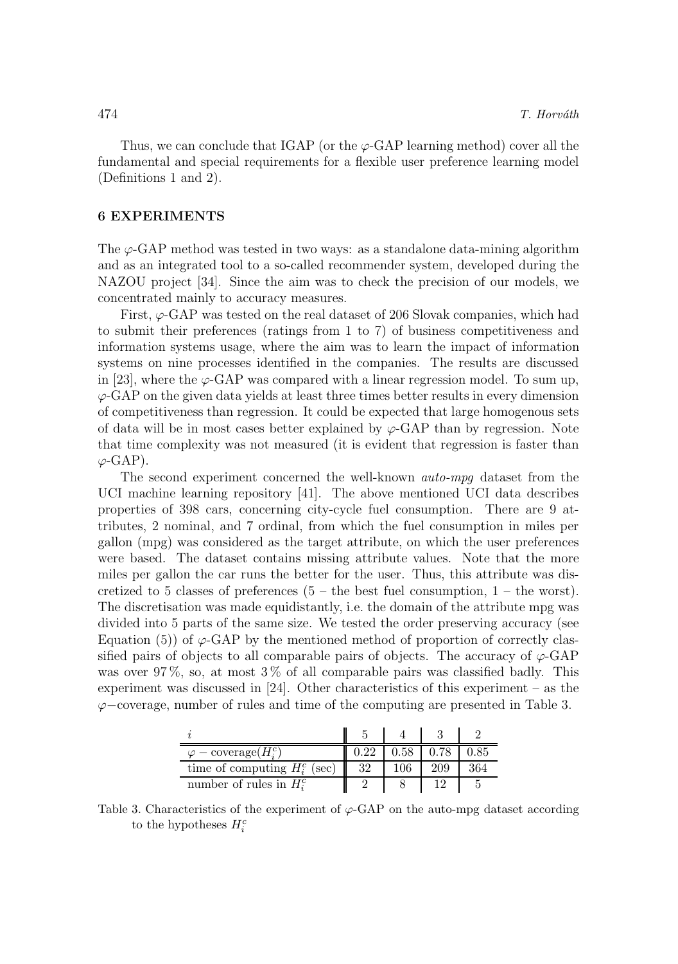Thus, we can conclude that IGAP (or the  $\varphi$ -GAP learning method) cover all the fundamental and special requirements for a flexible user preference learning model (Definitions 1 and 2).

#### 6 EXPERIMENTS

The  $\varphi$ -GAP method was tested in two ways: as a standalone data-mining algorithm and as an integrated tool to a so-called recommender system, developed during the NAZOU project [34]. Since the aim was to check the precision of our models, we concentrated mainly to accuracy measures.

First,  $\varphi$ -GAP was tested on the real dataset of 206 Slovak companies, which had to submit their preferences (ratings from 1 to 7) of business competitiveness and information systems usage, where the aim was to learn the impact of information systems on nine processes identified in the companies. The results are discussed in [23], where the  $\varphi$ -GAP was compared with a linear regression model. To sum up,  $\varphi$ -GAP on the given data yields at least three times better results in every dimension of competitiveness than regression. It could be expected that large homogenous sets of data will be in most cases better explained by  $\varphi$ -GAP than by regression. Note that time complexity was not measured (it is evident that regression is faster than  $\varphi$ -GAP).

The second experiment concerned the well-known auto-mpg dataset from the UCI machine learning repository [41]. The above mentioned UCI data describes properties of 398 cars, concerning city-cycle fuel consumption. There are 9 attributes, 2 nominal, and 7 ordinal, from which the fuel consumption in miles per gallon (mpg) was considered as the target attribute, on which the user preferences were based. The dataset contains missing attribute values. Note that the more miles per gallon the car runs the better for the user. Thus, this attribute was discretized to 5 classes of preferences  $(5 -$  the best fuel consumption,  $1 -$  the worst). The discretisation was made equidistantly, i.e. the domain of the attribute mpg was divided into 5 parts of the same size. We tested the order preserving accuracy (see Equation (5)) of  $\varphi$ -GAP by the mentioned method of proportion of correctly classified pairs of objects to all comparable pairs of objects. The accuracy of  $\varphi$ -GAP was over 97%, so, at most 3% of all comparable pairs was classified badly. This experiment was discussed in [24]. Other characteristics of this experiment – as the ϕ−coverage, number of rules and time of the computing are presented in Table 3.

| $\varphi$ – coverage( $H_i^c$ ) |    | $0.58\,$ |     |  |
|---------------------------------|----|----------|-----|--|
| time of computing $H_i^c$ (sec) | 32 |          | 209 |  |
| number of rules in $H_i^c$      |    |          |     |  |

Table 3. Characteristics of the experiment of  $\varphi$ -GAP on the auto-mpg dataset according to the hypotheses  $H_i^c$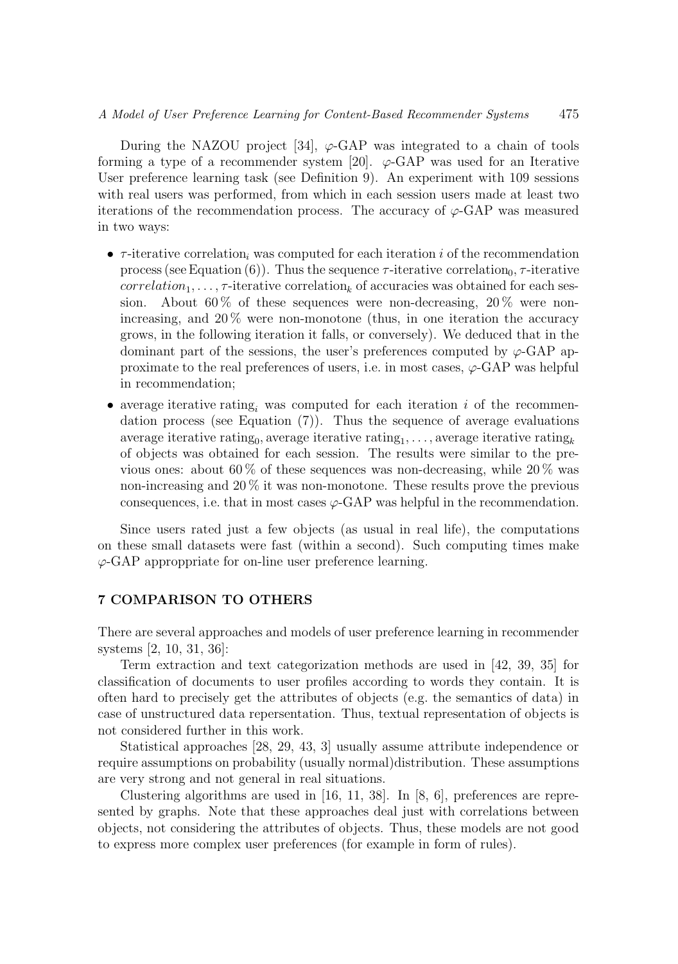#### A Model of User Preference Learning for Content-Based Recommender Systems 475

During the NAZOU project [34],  $\varphi$ -GAP was integrated to a chain of tools forming a type of a recommender system [20].  $\varphi$ -GAP was used for an Iterative User preference learning task (see Definition 9). An experiment with 109 sessions with real users was performed, from which in each session users made at least two iterations of the recommendation process. The accuracy of  $\varphi$ -GAP was measured in two ways:

- $\tau$ -iterative correlation, was computed for each iteration i of the recommendation process (see Equation (6)). Thus the sequence  $\tau$ -iterative correlation<sub>0</sub>,  $\tau$ -iterative  $correlation_1, \ldots, \tau$ -iterative correlation, of accuracies was obtained for each session. About 60% of these sequences were non-decreasing, 20% were nonincreasing, and  $20\%$  were non-monotone (thus, in one iteration the accuracy grows, in the following iteration it falls, or conversely). We deduced that in the dominant part of the sessions, the user's preferences computed by  $\varphi$ -GAP approximate to the real preferences of users, i.e. in most cases,  $\varphi$ -GAP was helpful in recommendation;
- average iterative rating, was computed for each iteration i of the recommendation process (see Equation  $(7)$ ). Thus the sequence of average evaluations average iterative rating<sub>0</sub>, average iterative rating<sub>1</sub>, . . . , average iterative rating<sub>k</sub> of objects was obtained for each session. The results were similar to the previous ones: about 60 % of these sequences was non-decreasing, while 20 % was non-increasing and 20 % it was non-monotone. These results prove the previous consequences, i.e. that in most cases  $\varphi$ -GAP was helpful in the recommendation.

Since users rated just a few objects (as usual in real life), the computations on these small datasets were fast (within a second). Such computing times make  $\varphi$ -GAP approppriate for on-line user preference learning.

#### 7 COMPARISON TO OTHERS

There are several approaches and models of user preference learning in recommender systems [2, 10, 31, 36]:

Term extraction and text categorization methods are used in [42, 39, 35] for classification of documents to user profiles according to words they contain. It is often hard to precisely get the attributes of objects (e.g. the semantics of data) in case of unstructured data repersentation. Thus, textual representation of objects is not considered further in this work.

Statistical approaches [28, 29, 43, 3] usually assume attribute independence or require assumptions on probability (usually normal)distribution. These assumptions are very strong and not general in real situations.

Clustering algorithms are used in [16, 11, 38]. In [8, 6], preferences are represented by graphs. Note that these approaches deal just with correlations between objects, not considering the attributes of objects. Thus, these models are not good to express more complex user preferences (for example in form of rules).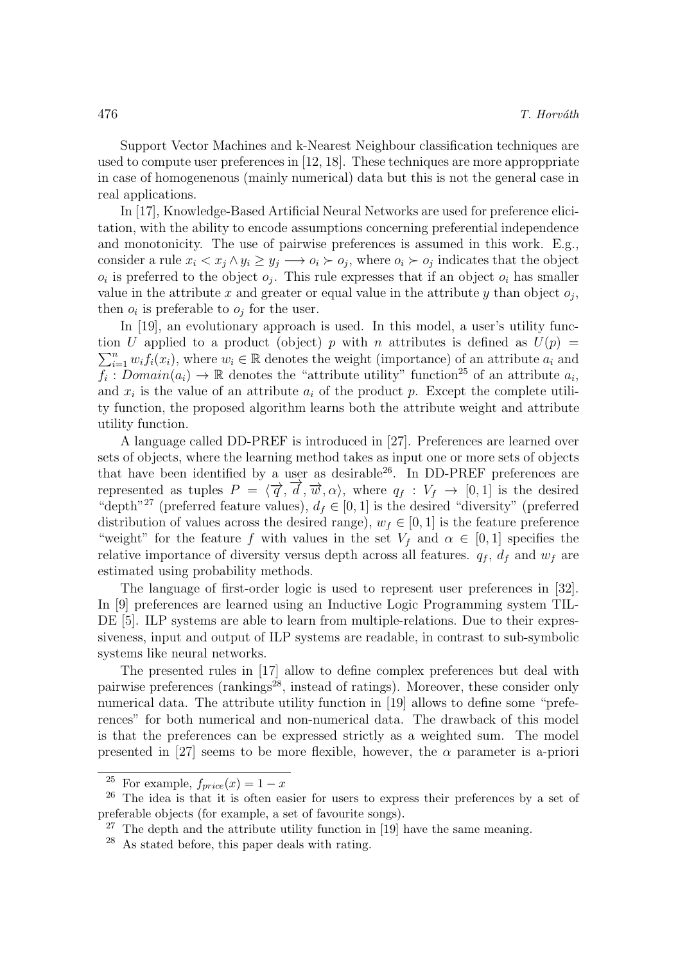Support Vector Machines and k-Nearest Neighbour classification techniques are used to compute user preferences in [12, 18]. These techniques are more approppriate in case of homogenenous (mainly numerical) data but this is not the general case in real applications.

In [17], Knowledge-Based Artificial Neural Networks are used for preference elicitation, with the ability to encode assumptions concerning preferential independence and monotonicity. The use of pairwise preferences is assumed in this work. E.g., consider a rule  $x_i < x_j \wedge y_i \geq y_j \longrightarrow o_i \succ o_j$ , where  $o_i \succ o_j$  indicates that the object  $o_i$  is preferred to the object  $o_j$ . This rule expresses that if an object  $o_i$  has smaller value in the attribute x and greater or equal value in the attribute y than object  $o_j$ , then  $o_i$  is preferable to  $o_j$  for the user.

In [19], an evolutionary approach is used. In this model, a user's utility func- $\sum_{i=1}^{n} w_i f_i(x_i)$ , where  $w_i \in \mathbb{R}$  denotes the weight (importance) of an attribute  $a_i$  and tion U applied to a product (object) p with n attributes is defined as  $U(p)$  =  $\overline{f_i}$ :  $Domain(a_i) \to \mathbb{R}$  denotes the "attribute utility" function<sup>25</sup> of an attribute  $a_i$ , and  $x_i$  is the value of an attribute  $a_i$  of the product p. Except the complete utility function, the proposed algorithm learns both the attribute weight and attribute utility function.

A language called DD-PREF is introduced in [27]. Preferences are learned over sets of objects, where the learning method takes as input one or more sets of objects that have been identified by a user as desirable  $26$ . In DD-PREF preferences are represented as tuples  $P = \langle \vec{q}, \vec{d}, \vec{w}, \alpha \rangle$ , where  $q_f : V_f \to [0, 1]$  is the desired "depth"<sup>27</sup> (preferred feature values),  $d_f \in [0, 1]$  is the desired "diversity" (preferred distribution of values across the desired range),  $w_f \in [0, 1]$  is the feature preference "weight" for the feature f with values in the set  $V_f$  and  $\alpha \in [0,1]$  specifies the relative importance of diversity versus depth across all features.  $q_f$ ,  $d_f$  and  $w_f$  are estimated using probability methods.

The language of first-order logic is used to represent user preferences in [32]. In [9] preferences are learned using an Inductive Logic Programming system TIL-DE [5]. ILP systems are able to learn from multiple-relations. Due to their expressiveness, input and output of ILP systems are readable, in contrast to sub-symbolic systems like neural networks.

The presented rules in [17] allow to define complex preferences but deal with pairwise preferences (rankings<sup>28</sup>, instead of ratings). Moreover, these consider only numerical data. The attribute utility function in [19] allows to define some "preferences" for both numerical and non-numerical data. The drawback of this model is that the preferences can be expressed strictly as a weighted sum. The model presented in [27] seems to be more flexible, however, the  $\alpha$  parameter is a-priori

<sup>&</sup>lt;sup>25</sup> For example,  $f_{price}(x) = 1 - x$ 

 $26$  The idea is that it is often easier for users to express their preferences by a set of preferable objects (for example, a set of favourite songs).

 $27$  The depth and the attribute utility function in [19] have the same meaning.

<sup>28</sup> As stated before, this paper deals with rating.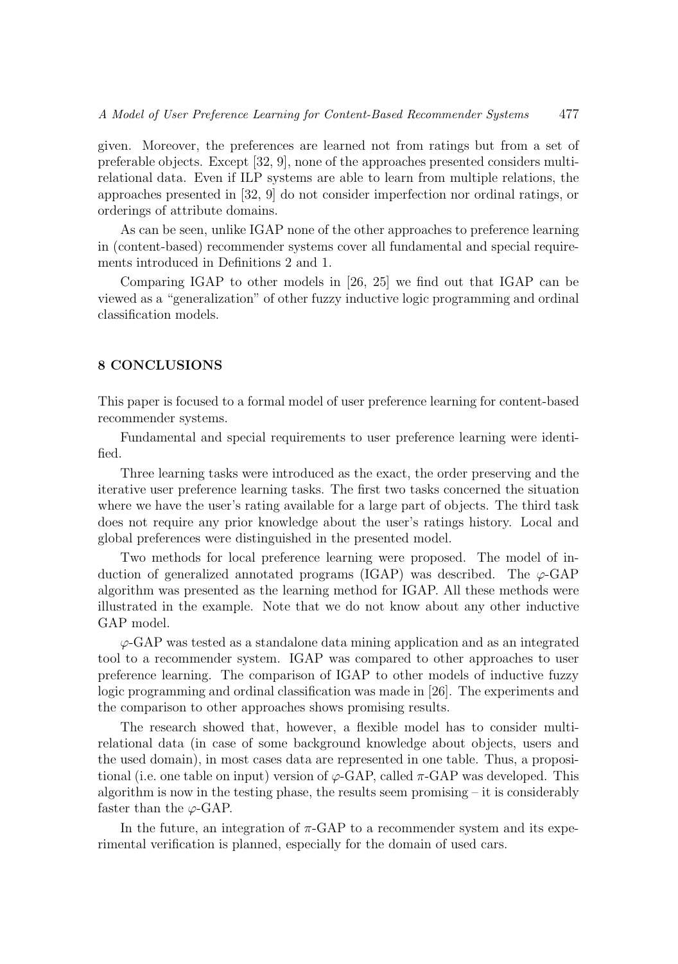given. Moreover, the preferences are learned not from ratings but from a set of preferable objects. Except [32, 9], none of the approaches presented considers multirelational data. Even if ILP systems are able to learn from multiple relations, the approaches presented in [32, 9] do not consider imperfection nor ordinal ratings, or orderings of attribute domains.

As can be seen, unlike IGAP none of the other approaches to preference learning in (content-based) recommender systems cover all fundamental and special requirements introduced in Definitions 2 and 1.

Comparing IGAP to other models in [26, 25] we find out that IGAP can be viewed as a "generalization" of other fuzzy inductive logic programming and ordinal classification models.

#### 8 CONCLUSIONS

This paper is focused to a formal model of user preference learning for content-based recommender systems.

Fundamental and special requirements to user preference learning were identified.

Three learning tasks were introduced as the exact, the order preserving and the iterative user preference learning tasks. The first two tasks concerned the situation where we have the user's rating available for a large part of objects. The third task does not require any prior knowledge about the user's ratings history. Local and global preferences were distinguished in the presented model.

Two methods for local preference learning were proposed. The model of induction of generalized annotated programs (IGAP) was described. The  $\varphi$ -GAP algorithm was presented as the learning method for IGAP. All these methods were illustrated in the example. Note that we do not know about any other inductive GAP model.

 $\varphi$ -GAP was tested as a standalone data mining application and as an integrated tool to a recommender system. IGAP was compared to other approaches to user preference learning. The comparison of IGAP to other models of inductive fuzzy logic programming and ordinal classification was made in [26]. The experiments and the comparison to other approaches shows promising results.

The research showed that, however, a flexible model has to consider multirelational data (in case of some background knowledge about objects, users and the used domain), in most cases data are represented in one table. Thus, a propositional (i.e. one table on input) version of  $\varphi$ -GAP, called  $\pi$ -GAP was developed. This algorithm is now in the testing phase, the results seem promising  $-$  it is considerably faster than the  $\varphi$ -GAP.

In the future, an integration of  $\pi$ -GAP to a recommender system and its experimental verification is planned, especially for the domain of used cars.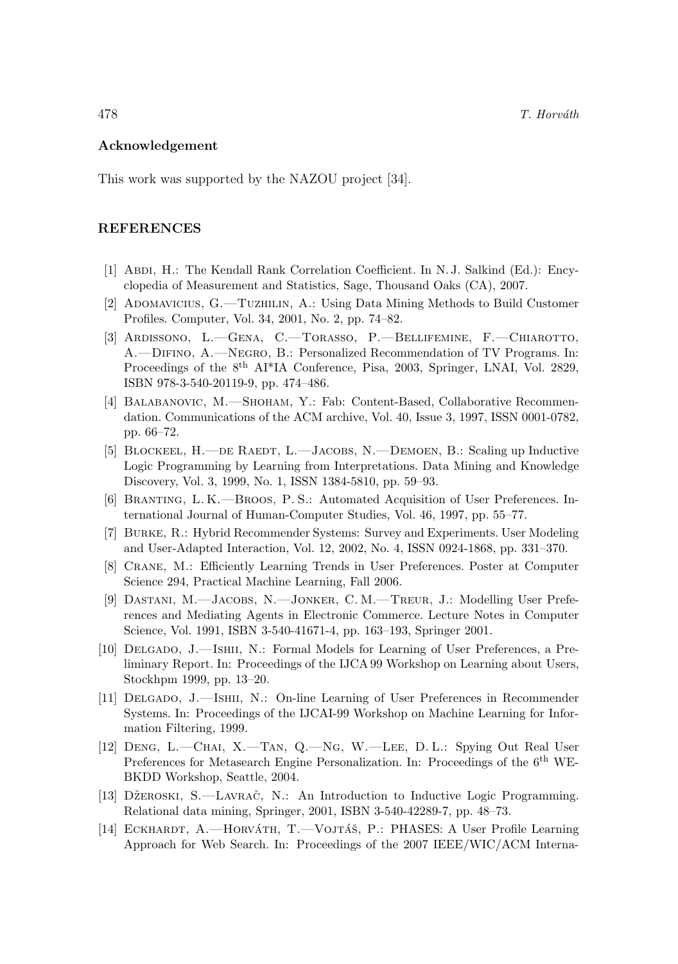#### Acknowledgement

This work was supported by the NAZOU project [34].

#### REFERENCES

- [1] Abdi, H.: The Kendall Rank Correlation Coefficient. In N. J. Salkind (Ed.): Encyclopedia of Measurement and Statistics, Sage, Thousand Oaks (CA), 2007.
- [2] ADOMAVICIUS, G.—TUZHILIN, A.: Using Data Mining Methods to Build Customer Profiles. Computer, Vol. 34, 2001, No. 2, pp. 74–82.
- [3] Ardissono, L.—Gena, C.—Torasso, P.—Bellifemine, F.—Chiarotto, A.—Difino, A.—Negro, B.: Personalized Recommendation of TV Programs. In: Proceedings of the 8<sup>th</sup> AI<sup>\*</sup>IA Conference, Pisa, 2003, Springer, LNAI, Vol. 2829, ISBN 978-3-540-20119-9, pp. 474–486.
- [4] BALABANOVIC, M.—SHOHAM, Y.: Fab: Content-Based, Collaborative Recommendation. Communications of the ACM archive, Vol. 40, Issue 3, 1997, ISSN 0001-0782, pp. 66–72.
- [5] BLOCKEEL, H.—DE RAEDT, L.—JACOBS, N.—DEMOEN, B.: Scaling up Inductive Logic Programming by Learning from Interpretations. Data Mining and Knowledge Discovery, Vol. 3, 1999, No. 1, ISSN 1384-5810, pp. 59–93.
- [6] Branting, L. K.—Broos, P. S.: Automated Acquisition of User Preferences. International Journal of Human-Computer Studies, Vol. 46, 1997, pp. 55–77.
- [7] Burke, R.: Hybrid Recommender Systems: Survey and Experiments. User Modeling and User-Adapted Interaction, Vol. 12, 2002, No. 4, ISSN 0924-1868, pp. 331–370.
- [8] Crane, M.: Efficiently Learning Trends in User Preferences. Poster at Computer Science 294, Practical Machine Learning, Fall 2006.
- [9] Dastani, M.—Jacobs, N.—Jonker, C. M.—Treur, J.: Modelling User Preferences and Mediating Agents in Electronic Commerce. Lecture Notes in Computer Science, Vol. 1991, ISBN 3-540-41671-4, pp. 163–193, Springer 2001.
- [10] Delgado, J.—Ishii, N.: Formal Models for Learning of User Preferences, a Preliminary Report. In: Proceedings of the IJCA 99 Workshop on Learning about Users, Stockhpm 1999, pp. 13–20.
- [11] Delgado, J.—Ishii, N.: On-line Learning of User Preferences in Recommender Systems. In: Proceedings of the IJCAI-99 Workshop on Machine Learning for Information Filtering, 1999.
- [12] Deng, L.—Chai, X.—Tan, Q.—Ng, W.—Lee, D. L.: Spying Out Real User Preferences for Metasearch Engine Personalization. In: Proceedings of the 6<sup>th</sup> WE-BKDD Workshop, Seattle, 2004.
- [13] DŽEROSKI, S.—LAVRAČ, N.: An Introduction to Inductive Logic Programming. Relational data mining, Springer, 2001, ISBN 3-540-42289-7, pp. 48–73.
- [14] ECKHARDT, A.—HORVÁTH, T.—VOJTÁŠ, P.: PHASES: A User Profile Learning Approach for Web Search. In: Proceedings of the 2007 IEEE/WIC/ACM Interna-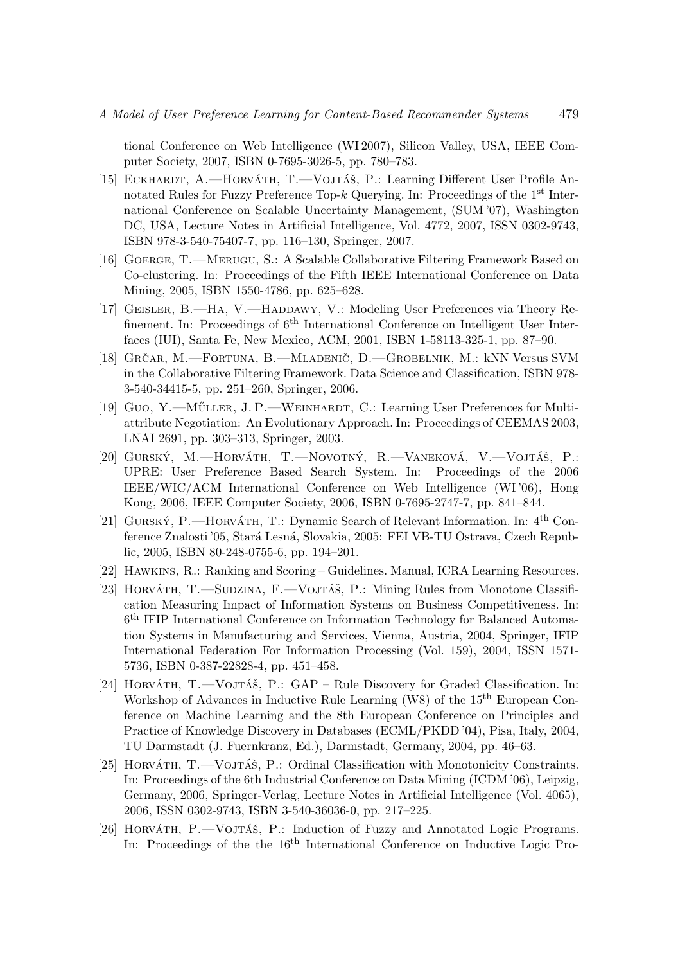tional Conference on Web Intelligence (WI 2007), Silicon Valley, USA, IEEE Computer Society, 2007, ISBN 0-7695-3026-5, pp. 780–783.

- [15] ECKHARDT, A.—HORVÁTH, T.—VOJTÁŠ, P.: Learning Different User Profile Annotated Rules for Fuzzy Preference Top-k Querying. In: Proceedings of the 1st International Conference on Scalable Uncertainty Management, (SUM '07), Washington DC, USA, Lecture Notes in Artificial Intelligence, Vol. 4772, 2007, ISSN 0302-9743, ISBN 978-3-540-75407-7, pp. 116–130, Springer, 2007.
- [16] Goerge, T.—Merugu, S.: A Scalable Collaborative Filtering Framework Based on Co-clustering. In: Proceedings of the Fifth IEEE International Conference on Data Mining, 2005, ISBN 1550-4786, pp. 625–628.
- [17] GEISLER, B.—HA, V.—HADDAWY, V.: Modeling User Preferences via Theory Refinement. In: Proceedings of  $6<sup>th</sup>$  International Conference on Intelligent User Interfaces (IUI), Santa Fe, New Mexico, ACM, 2001, ISBN 1-58113-325-1, pp. 87–90.
- [18] Grčar, M.—Fortuna, B.—Mladenič, D.—Grobelnik, M.: kNN Versus SVM in the Collaborative Filtering Framework. Data Science and Classification, ISBN 978- 3-540-34415-5, pp. 251–260, Springer, 2006.
- [19] GUO, Y.—MÜLLER, J. P.—WEINHARDT, C.: Learning User Preferences for Multiattribute Negotiation: An Evolutionary Approach. In: Proceedings of CEEMAS 2003, LNAI 2691, pp. 303–313, Springer, 2003.
- [20] GURSKÝ, M.-HORVÁTH, T.-NOVOTNÝ, R.-VANEKOVÁ, V.-VOJTÁŠ, P.: UPRE: User Preference Based Search System. In: Proceedings of the 2006 IEEE/WIC/ACM International Conference on Web Intelligence (WI '06), Hong Kong, 2006, IEEE Computer Society, 2006, ISBN 0-7695-2747-7, pp. 841–844.
- [21] GURSKÝ, P.—HORVÁTH, T.: Dynamic Search of Relevant Information. In:  $4<sup>th</sup>$  Conference Znalosti '05, Stará Lesná, Slovakia, 2005: FEI VB-TU Ostrava, Czech Republic, 2005, ISBN 80-248-0755-6, pp. 194–201.
- [22] Hawkins, R.: Ranking and Scoring Guidelines. Manual, ICRA Learning Resources.
- [23] HORVÁTH, T.—SUDZINA, F.—VOJTÁŠ, P.: Mining Rules from Monotone Classification Measuring Impact of Information Systems on Business Competitiveness. In: 6 th IFIP International Conference on Information Technology for Balanced Automation Systems in Manufacturing and Services, Vienna, Austria, 2004, Springer, IFIP International Federation For Information Processing (Vol. 159), 2004, ISSN 1571- 5736, ISBN 0-387-22828-4, pp. 451–458.
- [24] HORVÁTH,  $T.$ —VOJTÁŠ, P.: GAP Rule Discovery for Graded Classification. In: Workshop of Advances in Inductive Rule Learning (W8) of the 15<sup>th</sup> European Conference on Machine Learning and the 8th European Conference on Principles and Practice of Knowledge Discovery in Databases (ECML/PKDD '04), Pisa, Italy, 2004, TU Darmstadt (J. Fuernkranz, Ed.), Darmstadt, Germany, 2004, pp. 46–63.
- [25] HORVÁTH, T.—VOJTÁŠ, P.: Ordinal Classification with Monotonicity Constraints. In: Proceedings of the 6th Industrial Conference on Data Mining (ICDM '06), Leipzig, Germany, 2006, Springer-Verlag, Lecture Notes in Artificial Intelligence (Vol. 4065), 2006, ISSN 0302-9743, ISBN 3-540-36036-0, pp. 217–225.
- [26] HORVÁTH, P.—VOJTÁŠ, P.: Induction of Fuzzy and Annotated Logic Programs. In: Proceedings of the the 16<sup>th</sup> International Conference on Inductive Logic Pro-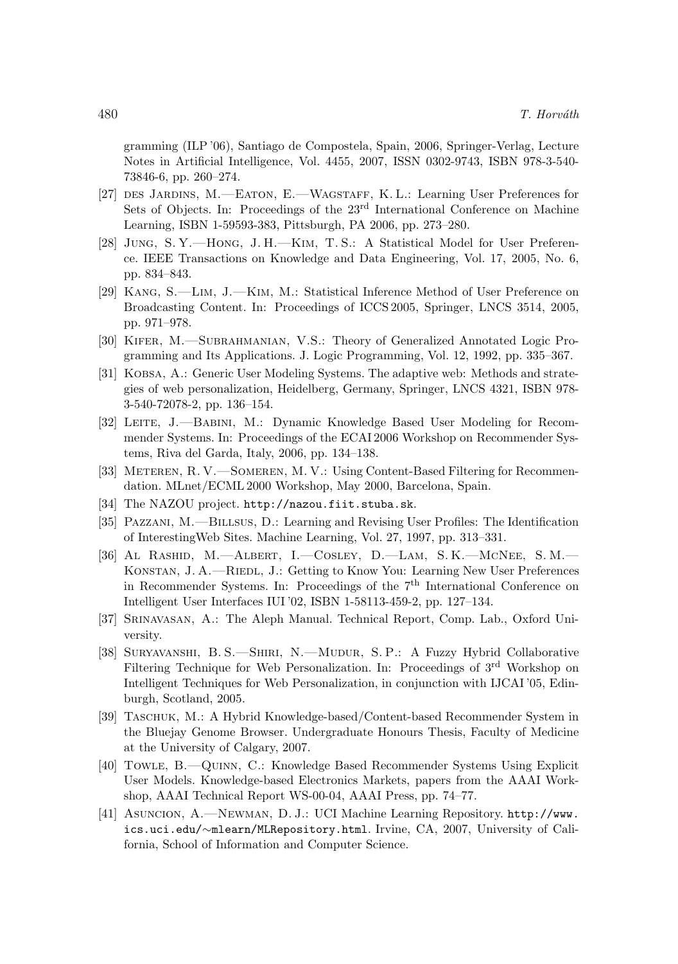gramming (ILP '06), Santiago de Compostela, Spain, 2006, Springer-Verlag, Lecture Notes in Artificial Intelligence, Vol. 4455, 2007, ISSN 0302-9743, ISBN 978-3-540- 73846-6, pp. 260–274.

- [27] des Jardins, M.—Eaton, E.—Wagstaff, K. L.: Learning User Preferences for Sets of Objects. In: Proceedings of the 23<sup>rd</sup> International Conference on Machine Learning, ISBN 1-59593-383, Pittsburgh, PA 2006, pp. 273–280.
- [28] Jung, S. Y.—Hong, J. H.—Kim, T. S.: A Statistical Model for User Preference. IEEE Transactions on Knowledge and Data Engineering, Vol. 17, 2005, No. 6, pp. 834–843.
- [29] Kang, S.—Lim, J.—Kim, M.: Statistical Inference Method of User Preference on Broadcasting Content. In: Proceedings of ICCS 2005, Springer, LNCS 3514, 2005, pp. 971–978.
- [30] Kifer, M.—Subrahmanian, V.S.: Theory of Generalized Annotated Logic Programming and Its Applications. J. Logic Programming, Vol. 12, 1992, pp. 335–367.
- [31] Kobsa, A.: Generic User Modeling Systems. The adaptive web: Methods and strategies of web personalization, Heidelberg, Germany, Springer, LNCS 4321, ISBN 978- 3-540-72078-2, pp. 136–154.
- [32] LEITE, J.—BABINI, M.: Dynamic Knowledge Based User Modeling for Recommender Systems. In: Proceedings of the ECAI 2006 Workshop on Recommender Systems, Riva del Garda, Italy, 2006, pp. 134–138.
- [33] METEREN, R. V.—SOMEREN, M. V.: Using Content-Based Filtering for Recommendation. MLnet/ECML 2000 Workshop, May 2000, Barcelona, Spain.
- [34] The NAZOU project. http://nazou.fiit.stuba.sk.
- [35] Pazzani, M.—Billsus, D.: Learning and Revising User Profiles: The Identification of InterestingWeb Sites. Machine Learning, Vol. 27, 1997, pp. 313–331.
- [36] Al Rashid, M.—Albert, I.—Cosley, D.—Lam, S. K.—McNee, S. M.— KONSTAN, J. A.—RIEDL, J.: Getting to Know You: Learning New User Preferences in Recommender Systems. In: Proceedings of the  $7<sup>th</sup>$  International Conference on Intelligent User Interfaces IUI '02, ISBN 1-58113-459-2, pp. 127–134.
- [37] Srinavasan, A.: The Aleph Manual. Technical Report, Comp. Lab., Oxford University.
- [38] Suryavanshi, B. S.—Shiri, N.—Mudur, S. P.: A Fuzzy Hybrid Collaborative Filtering Technique for Web Personalization. In: Proceedings of 3<sup>rd</sup> Workshop on Intelligent Techniques for Web Personalization, in conjunction with IJCAI '05, Edinburgh, Scotland, 2005.
- [39] Taschuk, M.: A Hybrid Knowledge-based/Content-based Recommender System in the Bluejay Genome Browser. Undergraduate Honours Thesis, Faculty of Medicine at the University of Calgary, 2007.
- [40] Towle, B.—Quinn, C.: Knowledge Based Recommender Systems Using Explicit User Models. Knowledge-based Electronics Markets, papers from the AAAI Workshop, AAAI Technical Report WS-00-04, AAAI Press, pp. 74–77.
- [41] Asuncion, A.—Newman, D. J.: UCI Machine Learning Repository. http://www. ics.uci.edu/∼mlearn/MLRepository.html. Irvine, CA, 2007, University of California, School of Information and Computer Science.